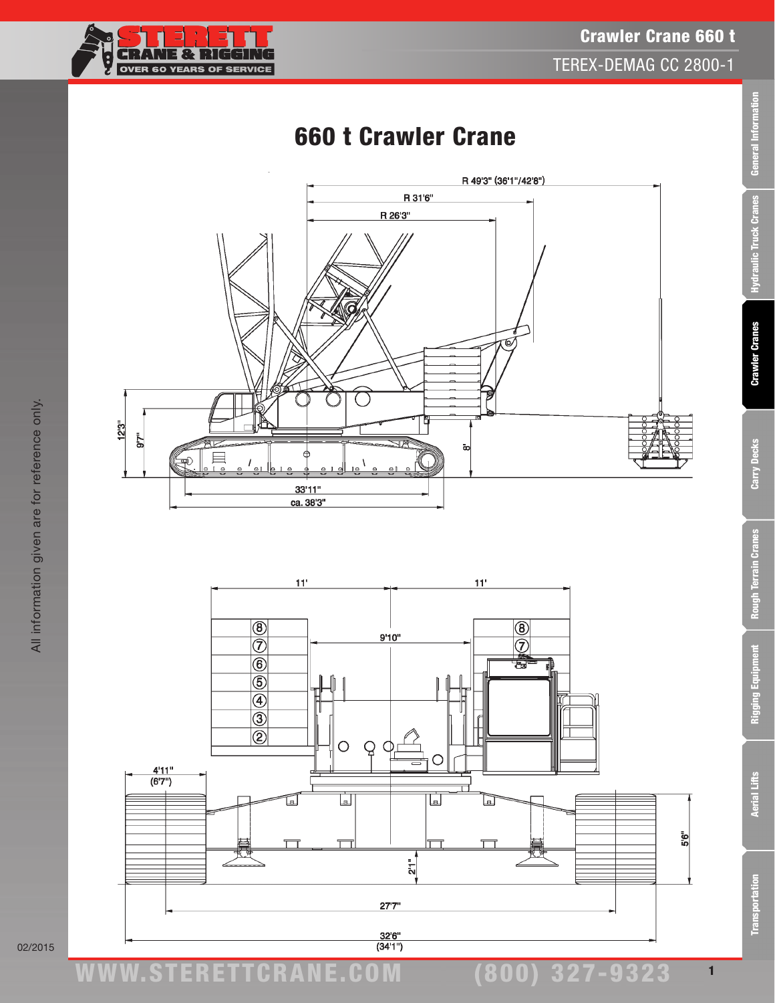

## Crawler Crane 660 t TEREX-DEMAG CC 2800-1

# 660 t Crawler Crane





02/2015

**Transportation**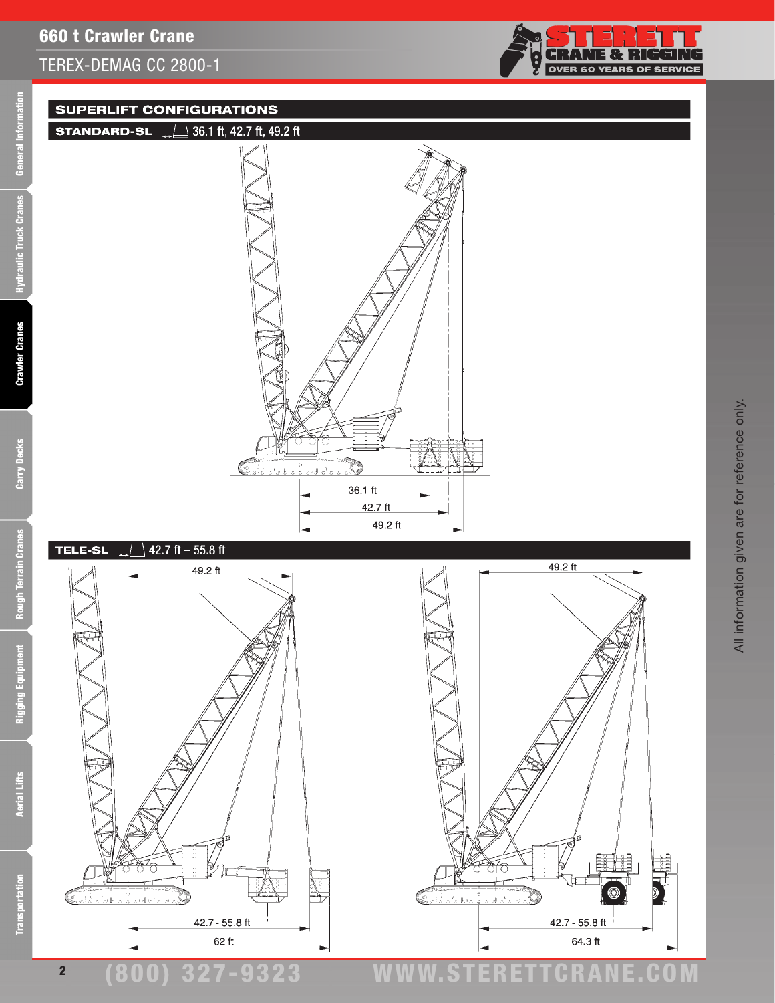

#### **SUPERLIFT CONFIGURATIONS**





Ē

**Crawler Cranes** 

Carry Decks



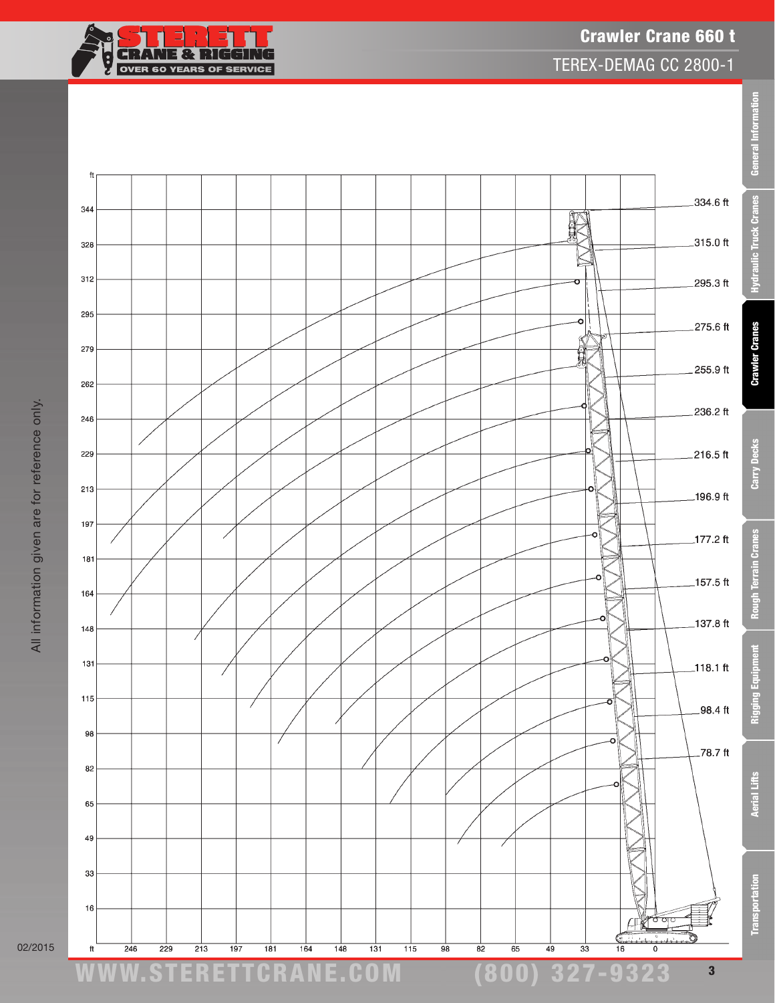

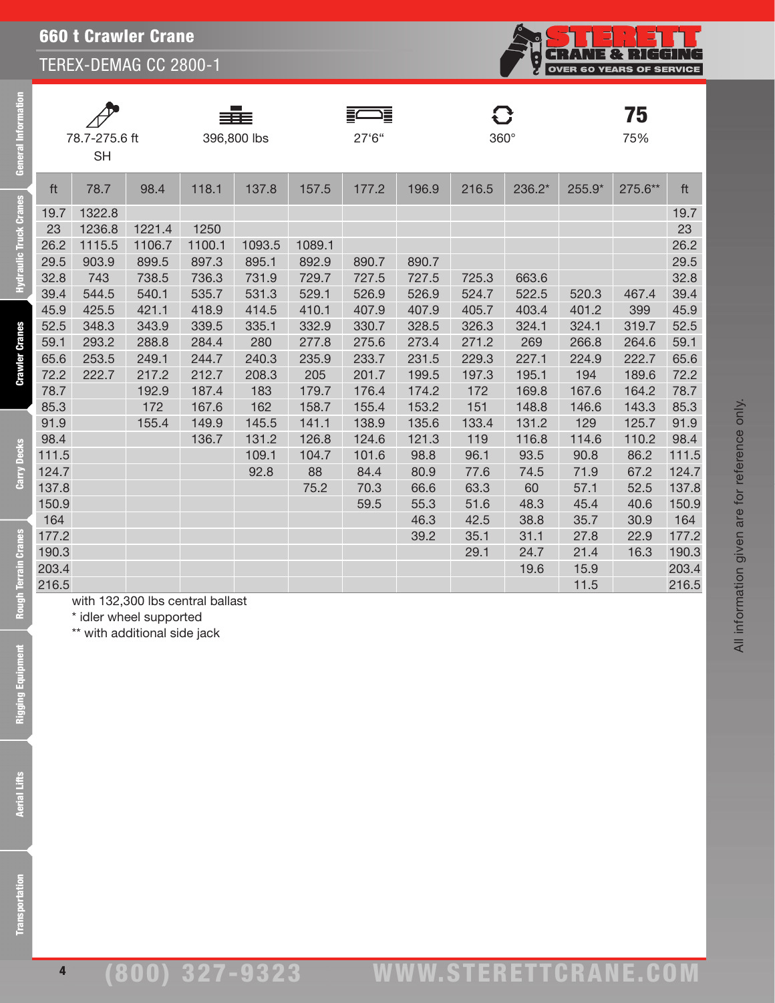SH

TEREX-DEMAG CC 2800-1

78.7-275.6 ft 396,800 lbs

|                |  |             | $\circ$  |                           | n<br>IE & RIG<br><b>OVER 60 YEARS OF SERVICE</b> | <u>' (F</u> |  |  |
|----------------|--|-------------|----------|---------------------------|--------------------------------------------------|-------------|--|--|
| 27'6''         |  | $360^\circ$ |          |                           | 75<br>75%                                        |             |  |  |
| 196.9<br>177.2 |  | 216.5       | $236.2*$ | $255.9*$<br>275.6**<br>ft |                                                  |             |  |  |

| ft    | 78.7                             | 98.4   | 118.1  | 137.8  | 157.5  | 177.2 | 196.9 | 216.5 | 236.2* | 255.9* | 275.6** | ft    |
|-------|----------------------------------|--------|--------|--------|--------|-------|-------|-------|--------|--------|---------|-------|
| 19.7  | 1322.8                           |        |        |        |        |       |       |       |        |        |         | 19.7  |
| 23    | 1236.8                           | 1221.4 | 1250   |        |        |       |       |       |        |        |         | 23    |
| 26.2  | 1115.5                           | 1106.7 | 1100.1 | 1093.5 | 1089.1 |       |       |       |        |        |         | 26.2  |
| 29.5  | 903.9                            | 899.5  | 897.3  | 895.1  | 892.9  | 890.7 | 890.7 |       |        |        |         | 29.5  |
| 32.8  | 743                              | 738.5  | 736.3  | 731.9  | 729.7  | 727.5 | 727.5 | 725.3 | 663.6  |        |         | 32.8  |
| 39.4  | 544.5                            | 540.1  | 535.7  | 531.3  | 529.1  | 526.9 | 526.9 | 524.7 | 522.5  | 520.3  | 467.4   | 39.4  |
| 45.9  | 425.5                            | 421.1  | 418.9  | 414.5  | 410.1  | 407.9 | 407.9 | 405.7 | 403.4  | 401.2  | 399     | 45.9  |
| 52.5  | 348.3                            | 343.9  | 339.5  | 335.1  | 332.9  | 330.7 | 328.5 | 326.3 | 324.1  | 324.1  | 319.7   | 52.5  |
| 59.1  | 293.2                            | 288.8  | 284.4  | 280    | 277.8  | 275.6 | 273.4 | 271.2 | 269    | 266.8  | 264.6   | 59.1  |
| 65.6  | 253.5                            | 249.1  | 244.7  | 240.3  | 235.9  | 233.7 | 231.5 | 229.3 | 227.1  | 224.9  | 222.7   | 65.6  |
| 72.2  | 222.7                            | 217.2  | 212.7  | 208.3  | 205    | 201.7 | 199.5 | 197.3 | 195.1  | 194    | 189.6   | 72.2  |
| 78.7  |                                  | 192.9  | 187.4  | 183    | 179.7  | 176.4 | 174.2 | 172   | 169.8  | 167.6  | 164.2   | 78.7  |
| 85.3  |                                  | 172    | 167.6  | 162    | 158.7  | 155.4 | 153.2 | 151   | 148.8  | 146.6  | 143.3   | 85.3  |
| 91.9  |                                  | 155.4  | 149.9  | 145.5  | 141.1  | 138.9 | 135.6 | 133.4 | 131.2  | 129    | 125.7   | 91.9  |
| 98.4  |                                  |        | 136.7  | 131.2  | 126.8  | 124.6 | 121.3 | 119   | 116.8  | 114.6  | 110.2   | 98.4  |
| 111.5 |                                  |        |        | 109.1  | 104.7  | 101.6 | 98.8  | 96.1  | 93.5   | 90.8   | 86.2    | 111.5 |
| 124.7 |                                  |        |        | 92.8   | 88     | 84.4  | 80.9  | 77.6  | 74.5   | 71.9   | 67.2    | 124.7 |
| 137.8 |                                  |        |        |        | 75.2   | 70.3  | 66.6  | 63.3  | 60     | 57.1   | 52.5    | 137.8 |
| 150.9 |                                  |        |        |        |        | 59.5  | 55.3  | 51.6  | 48.3   | 45.4   | 40.6    | 150.9 |
| 164   |                                  |        |        |        |        |       | 46.3  | 42.5  | 38.8   | 35.7   | 30.9    | 164   |
| 177.2 |                                  |        |        |        |        |       | 39.2  | 35.1  | 31.1   | 27.8   | 22.9    | 177.2 |
| 190.3 |                                  |        |        |        |        |       |       | 29.1  | 24.7   | 21.4   | 16.3    | 190.3 |
| 203.4 |                                  |        |        |        |        |       |       |       | 19.6   | 15.9   |         | 203.4 |
| 216.5 |                                  |        |        |        |        |       |       |       |        | 11.5   |         | 216.5 |
|       | with 132,300 lbs central ballast |        |        |        |        |       |       |       |        |        |         |       |

4

All information given are for reference only.

All information given are for reference only.

\* idler wheel supported \*\* with additional side jack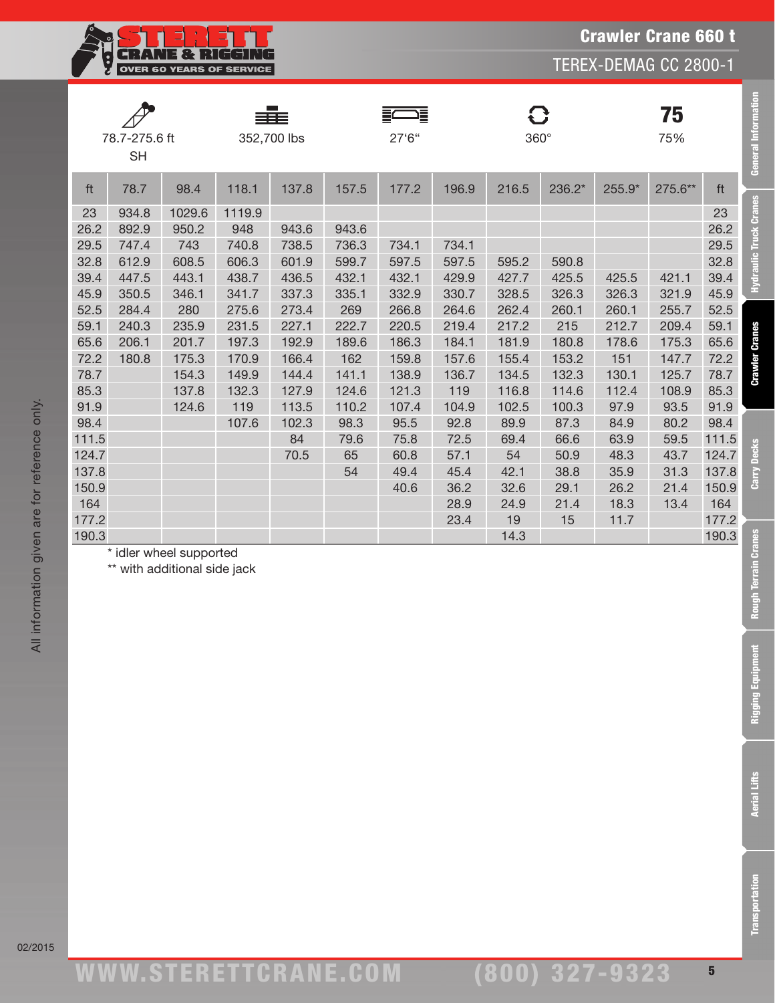Crawler Crane 660 t

TEREX-DEMAG CC 2800-1



|       |               |        |        |             | 這     |        |       | ි           |        | 75     |         |       |
|-------|---------------|--------|--------|-------------|-------|--------|-------|-------------|--------|--------|---------|-------|
|       | 78.7-275.6 ft |        |        | 352,700 lbs |       | 27'6'' |       | $360^\circ$ |        |        | 75%     |       |
|       | <b>SH</b>     |        |        |             |       |        |       |             |        |        |         |       |
| ft    | 78.7          | 98.4   | 118.1  | 137.8       | 157.5 | 177.2  | 196.9 | 216.5       | 236.2* | 255.9* | 275.6** | ft    |
| 23    | 934.8         | 1029.6 | 1119.9 |             |       |        |       |             |        |        |         | 23    |
| 26.2  | 892.9         | 950.2  | 948    | 943.6       | 943.6 |        |       |             |        |        |         | 26.2  |
| 29.5  | 747.4         | 743    | 740.8  | 738.5       | 736.3 | 734.1  | 734.1 |             |        |        |         | 29.5  |
| 32.8  | 612.9         | 608.5  | 606.3  | 601.9       | 599.7 | 597.5  | 597.5 | 595.2       | 590.8  |        |         | 32.8  |
| 39.4  | 447.5         | 443.1  | 438.7  | 436.5       | 432.1 | 432.1  | 429.9 | 427.7       | 425.5  | 425.5  | 421.1   | 39.4  |
| 45.9  | 350.5         | 346.1  | 341.7  | 337.3       | 335.1 | 332.9  | 330.7 | 328.5       | 326.3  | 326.3  | 321.9   | 45.9  |
| 52.5  | 284.4         | 280    | 275.6  | 273.4       | 269   | 266.8  | 264.6 | 262.4       | 260.1  | 260.1  | 255.7   | 52.5  |
| 59.1  | 240.3         | 235.9  | 231.5  | 227.1       | 222.7 | 220.5  | 219.4 | 217.2       | 215    | 212.7  | 209.4   | 59.1  |
| 65.6  | 206.1         | 201.7  | 197.3  | 192.9       | 189.6 | 186.3  | 184.1 | 181.9       | 180.8  | 178.6  | 175.3   | 65.6  |
| 72.2  | 180.8         | 175.3  | 170.9  | 166.4       | 162   | 159.8  | 157.6 | 155.4       | 153.2  | 151    | 147.7   | 72.2  |
| 78.7  |               | 154.3  | 149.9  | 144.4       | 141.1 | 138.9  | 136.7 | 134.5       | 132.3  | 130.1  | 125.7   | 78.7  |
| 85.3  |               | 137.8  | 132.3  | 127.9       | 124.6 | 121.3  | 119   | 116.8       | 114.6  | 112.4  | 108.9   | 85.3  |
| 91.9  |               | 124.6  | 119    | 113.5       | 110.2 | 107.4  | 104.9 | 102.5       | 100.3  | 97.9   | 93.5    | 91.9  |
| 98.4  |               |        | 107.6  | 102.3       | 98.3  | 95.5   | 92.8  | 89.9        | 87.3   | 84.9   | 80.2    | 98.4  |
| 111.5 |               |        |        | 84          | 79.6  | 75.8   | 72.5  | 69.4        | 66.6   | 63.9   | 59.5    | 111.5 |
| 124.7 |               |        |        | 70.5        | 65    | 60.8   | 57.1  | 54          | 50.9   | 48.3   | 43.7    | 124.7 |
| 137.8 |               |        |        |             | 54    | 49.4   | 45.4  | 42.1        | 38.8   | 35.9   | 31.3    | 137.8 |
| 150.9 |               |        |        |             |       | 40.6   | 36.2  | 32.6        | 29.1   | 26.2   | 21.4    | 150.9 |
| 164   |               |        |        |             |       |        | 28.9  | 24.9        | 21.4   | 18.3   | 13.4    | 164   |
| 177.2 |               |        |        |             |       |        | 23.4  | 19          | 15     | 11.7   |         | 177.2 |
| 190.3 |               |        |        |             |       |        |       | 14.3        |        |        |         | 190.3 |

\* idler wheel supported

\*\* with additional side jack

General Information

**Hydraulic Truck Cranes** 

**Crawler Cranes** 

Carry Decks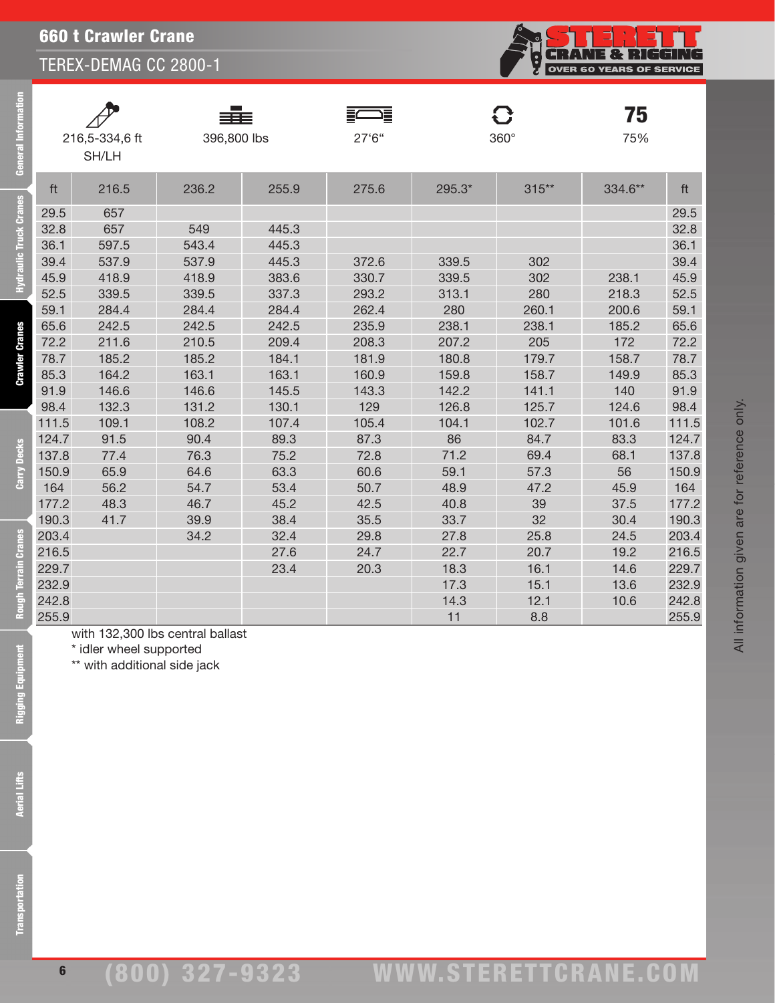660 t Crawler Crane

SH/LH

TEREX-DEMAG CC 2800-1

| E 82<br>-11<br><b>OVER 60 YEARS OF SERVICE</b> |
|------------------------------------------------|
|                                                |

| ֠      |
|--------|
|        |
|        |
|        |
|        |
| í      |
|        |
| ł      |
|        |
| T      |
| í      |
| i      |
| 4      |
| í<br>ļ |
|        |
|        |
|        |
|        |
|        |
|        |
|        |
|        |
|        |
|        |
|        |
|        |
|        |

6

| 190.3 | 41.7 | 39.9 | 38.4 | 35.5 | 33.7 | 32   | 30.4 | 190.3 |
|-------|------|------|------|------|------|------|------|-------|
| 203.4 |      | 34.2 | 32.4 | 29.8 | 27.8 | 25.8 | 24.5 | 203.4 |
| 216.5 |      |      | 27.6 | 24.7 | 22.7 | 20.7 | 19.2 | 216.5 |
| 229.7 |      |      | 23.4 | 20.3 | 18.3 | 16.1 | 14.6 | 229.7 |
| 232.9 |      |      |      |      | 17.3 | 15.1 | 13.6 | 232.9 |
| 242.8 |      |      |      |      | 14.3 | 12.1 | 10.6 | 242.8 |
| 255.9 |      |      |      |      |      | 8.8  |      | 255.9 |

with 132,300 lbs central ballast

\* idler wheel supported

\*\* with additional side jack

75

All information given are for reference only.

All information given are for reference only.

| ft    | 216.5 | 236.2 | 255.9 | 275.6 | $295.3*$ | $315**$ | 334.6** | ft    |
|-------|-------|-------|-------|-------|----------|---------|---------|-------|
| 29.5  | 657   |       |       |       |          |         |         | 29.5  |
| 32.8  | 657   | 549   | 445.3 |       |          |         |         | 32.8  |
| 36.1  | 597.5 | 543.4 | 445.3 |       |          |         |         | 36.1  |
| 39.4  | 537.9 | 537.9 | 445.3 | 372.6 | 339.5    | 302     |         | 39.4  |
| 45.9  | 418.9 | 418.9 | 383.6 | 330.7 | 339.5    | 302     | 238.1   | 45.9  |
| 52.5  | 339.5 | 339.5 | 337.3 | 293.2 | 313.1    | 280     | 218.3   | 52.5  |
| 59.1  | 284.4 | 284.4 | 284.4 | 262.4 | 280      | 260.1   | 200.6   | 59.1  |
| 65.6  | 242.5 | 242.5 | 242.5 | 235.9 | 238.1    | 238.1   | 185.2   | 65.6  |
| 72.2  | 211.6 | 210.5 | 209.4 | 208.3 | 207.2    | 205     | 172     | 72.2  |
| 78.7  | 185.2 | 185.2 | 184.1 | 181.9 | 180.8    | 179.7   | 158.7   | 78.7  |
| 85.3  | 164.2 | 163.1 | 163.1 | 160.9 | 159.8    | 158.7   | 149.9   | 85.3  |
| 91.9  | 146.6 | 146.6 | 145.5 | 143.3 | 142.2    | 141.1   | 140     | 91.9  |
| 98.4  | 132.3 | 131.2 | 130.1 | 129   | 126.8    | 125.7   | 124.6   | 98.4  |
| 111.5 | 109.1 | 108.2 | 107.4 | 105.4 | 104.1    | 102.7   | 101.6   | 111.5 |
| 124.7 | 91.5  | 90.4  | 89.3  | 87.3  | 86       | 84.7    | 83.3    | 124.7 |
| 137.8 | 77.4  | 76.3  | 75.2  | 72.8  | 71.2     | 69.4    | 68.1    | 137.8 |
| 150.9 | 65.9  | 64.6  | 63.3  | 60.6  | 59.1     | 57.3    | 56      | 150.9 |

164 56.2 54.7 53.4 50.7 48.9 47.2 45.9 164 177.2 48.3 46.7 45.2 42.5 40.8 39 37.5 177.2

216,5-334,6 ft 396,800 lbs 27'6'' 360° 75%

≣⊂

⋾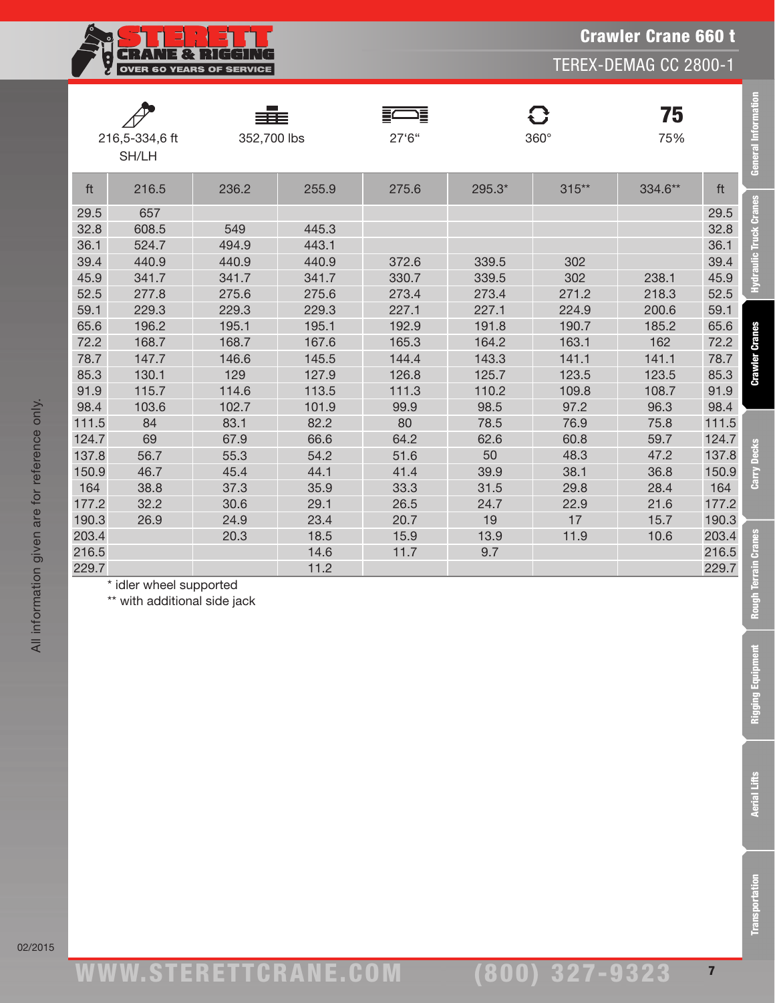Crawler Crane 660 t

TEREX-DEMAG CC 2800-1



|       | 216,5-334,6 ft | 352,700 lbs |       | ⊐≣<br>27'6'' |        | C<br>$360^\circ$ | 75<br>75% |       |
|-------|----------------|-------------|-------|--------------|--------|------------------|-----------|-------|
|       | SH/LH          |             |       |              |        |                  |           |       |
| ft    | 216.5          | 236.2       | 255.9 | 275.6        | 295.3* | $315**$          | 334.6**   | ft    |
| 29.5  | 657            |             |       |              |        |                  |           | 29.5  |
| 32.8  | 608.5          | 549         | 445.3 |              |        |                  |           | 32.8  |
| 36.1  | 524.7          | 494.9       | 443.1 |              |        |                  |           | 36.1  |
| 39.4  | 440.9          | 440.9       | 440.9 | 372.6        | 339.5  | 302              |           | 39.4  |
| 45.9  | 341.7          | 341.7       | 341.7 | 330.7        | 339.5  | 302              | 238.1     | 45.9  |
| 52.5  | 277.8          | 275.6       | 275.6 | 273.4        | 273.4  | 271.2            | 218.3     | 52.5  |
| 59.1  | 229.3          | 229.3       | 229.3 | 227.1        | 227.1  | 224.9            | 200.6     | 59.1  |
| 65.6  | 196.2          | 195.1       | 195.1 | 192.9        | 191.8  | 190.7            | 185.2     | 65.6  |
| 72.2  | 168.7          | 168.7       | 167.6 | 165.3        | 164.2  | 163.1            | 162       | 72.2  |
| 78.7  | 147.7          | 146.6       | 145.5 | 144.4        | 143.3  | 141.1            | 141.1     | 78.7  |
| 85.3  | 130.1          | 129         | 127.9 | 126.8        | 125.7  | 123.5            | 123.5     | 85.3  |
| 91.9  | 115.7          | 114.6       | 113.5 | 111.3        | 110.2  | 109.8            | 108.7     | 91.9  |
| 98.4  | 103.6          | 102.7       | 101.9 | 99.9         | 98.5   | 97.2             | 96.3      | 98.4  |
| 111.5 | 84             | 83.1        | 82.2  | 80           | 78.5   | 76.9             | 75.8      | 111.5 |
| 124.7 | 69             | 67.9        | 66.6  | 64.2         | 62.6   | 60.8             | 59.7      | 124.7 |
| 137.8 | 56.7           | 55.3        | 54.2  | 51.6         | 50     | 48.3             | 47.2      | 137.8 |
| 150.9 | 46.7           | 45.4        | 44.1  | 41.4         | 39.9   | 38.1             | 36.8      | 150.9 |
| 164   | 38.8           | 37.3        | 35.9  | 33.3         | 31.5   | 29.8             | 28.4      | 164   |
| 177.2 | 32.2           | 30.6        | 29.1  | 26.5         | 24.7   | 22.9             | 21.6      | 177.2 |
| 190.3 | 26.9           | 24.9        | 23.4  | 20.7         | 19     | 17               | 15.7      | 190.3 |
| 203.4 |                | 20.3        | 18.5  | 15.9         | 13.9   | 11.9             | 10.6      | 203.4 |
| 216.5 |                |             | 14.6  | 11.7         | 9.7    |                  |           | 216.5 |
| 229.7 |                |             | 11.2  |              |        |                  |           | 229.7 |

\* idler wheel supported

\*\* with additional side jack

General Information

Hydraulic Truck Cranes

**Crawler Cranes** 

Carry Decks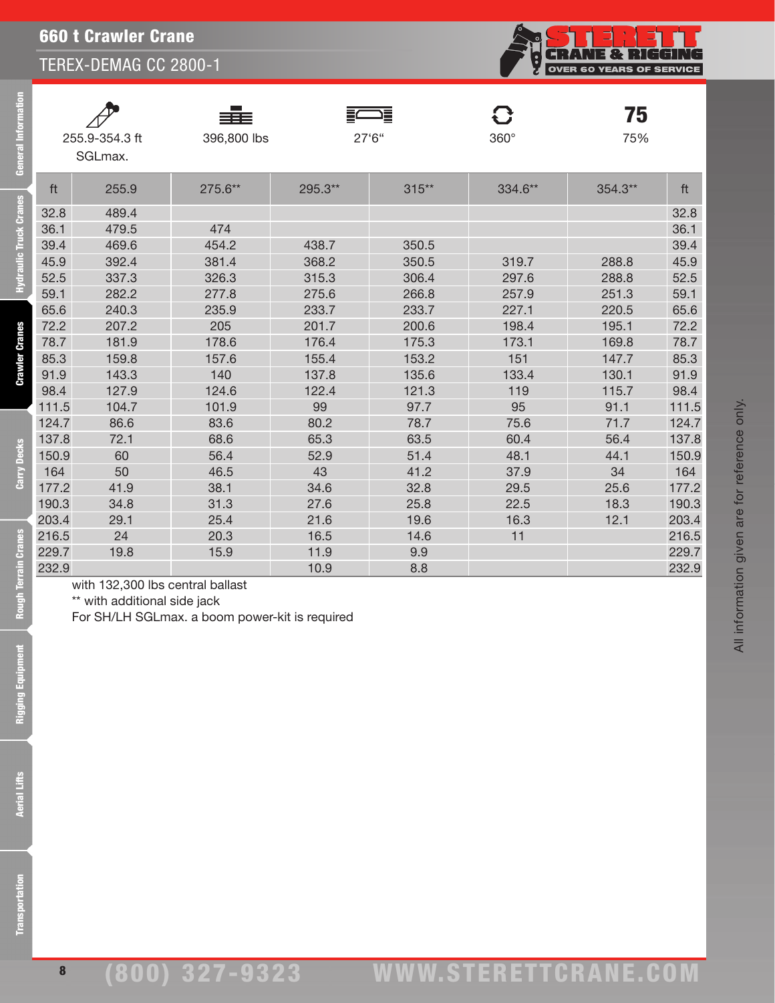660 t Crawler Crane

TEREX-DEMAG CC 2800-1

**CRANE & RIGGING**<br>OVER 60 YEARS OF SERVICE

All information given are for reference only.

All information given are for reference only.

| General In             | 255.9-354.3 ft<br>SGLmax. |                                                                  | 396,800 lbs                                    |         | $27^{\circ}6^{\circ}$ | 360°    |         |       |
|------------------------|---------------------------|------------------------------------------------------------------|------------------------------------------------|---------|-----------------------|---------|---------|-------|
|                        | ft                        | 255.9                                                            | 275.6**                                        | 295.3** | $315**$               | 334.6** | 354.3** | ft    |
| Hydraulic Truck Cranes | 32.8                      | 489.4                                                            |                                                |         |                       |         |         | 32.8  |
|                        | 36.1                      | 479.5                                                            | 474                                            |         |                       |         |         | 36.1  |
|                        | 39.4                      | 469.6                                                            | 454.2                                          | 438.7   | 350.5                 |         |         | 39.4  |
|                        | 45.9                      | 392.4                                                            | 381.4                                          | 368.2   | 350.5                 | 319.7   | 288.8   | 45.9  |
|                        | 52.5                      | 337.3                                                            | 326.3                                          | 315.3   | 306.4                 | 297.6   | 288.8   | 52.5  |
|                        | 59.1                      | 282.2                                                            | 277.8                                          | 275.6   | 266.8                 | 257.9   | 251.3   | 59.1  |
|                        | 65.6                      | 240.3                                                            | 235.9                                          | 233.7   | 233.7                 | 227.1   | 220.5   | 65.6  |
|                        | 72.2                      | 207.2                                                            | 205                                            | 201.7   | 200.6                 | 198.4   | 195.1   | 72.2  |
| <b>Crawler Cranes</b>  | 78.7                      | 181.9                                                            | 178.6                                          | 176.4   | 175.3                 | 173.1   | 169.8   | 78.7  |
|                        | 85.3                      | 159.8                                                            | 157.6                                          | 155.4   | 153.2                 | 151     | 147.7   | 85.3  |
|                        | 91.9                      | 143.3                                                            | 140                                            | 137.8   | 135.6                 | 133.4   | 130.1   | 91.9  |
|                        | 98.4                      | 127.9                                                            | 124.6                                          | 122.4   | 121.3                 | 119     | 115.7   | 98.4  |
|                        | 111.5                     | 104.7                                                            | 101.9                                          | 99      | 97.7                  | 95      | 91.1    | 111.5 |
|                        | 124.7                     | 86.6                                                             | 83.6                                           | 80.2    | 78.7                  | 75.6    | 71.7    | 124.7 |
|                        | 137.8                     | 72.1                                                             | 68.6                                           | 65.3    | 63.5                  | 60.4    | 56.4    | 137.8 |
| <b>Carry Decks</b>     | 150.9                     | 60                                                               | 56.4                                           | 52.9    | 51.4                  | 48.1    | 44.1    | 150.9 |
|                        | 164                       | 50                                                               | 46.5                                           | 43      | 41.2                  | 37.9    | 34      | 164   |
|                        | 177.2                     | 41.9                                                             | 38.1                                           | 34.6    | 32.8                  | 29.5    | 25.6    | 177.2 |
|                        | 190.3                     | 34.8                                                             | 31.3                                           | 27.6    | 25.8                  | 22.5    | 18.3    | 190.3 |
|                        | 203.4                     | 29.1                                                             | 25.4                                           | 21.6    | 19.6                  | 16.3    | 12.1    | 203.4 |
|                        | 216.5                     | 24                                                               | 20.3                                           | 16.5    | 14.6                  | 11      |         | 216.5 |
|                        | 229.7                     | 19.8                                                             | 15.9                                           | 11.9    | 9.9                   |         |         | 229.7 |
|                        | 232.9                     |                                                                  |                                                | 10.9    | 8.8                   |         |         | 232.9 |
| Rough Terrain Cranes   |                           | with 132,300 lbs central ballast<br>** with additional side jack | For SH/LH SGLmax. a boom power-kit is required |         |                       |         |         |       |
| Tent                   |                           |                                                                  |                                                |         |                       |         |         |       |
| Rigging Equipm         |                           |                                                                  |                                                |         |                       |         |         |       |
|                        |                           |                                                                  |                                                |         |                       |         |         |       |
|                        |                           |                                                                  |                                                |         |                       |         |         |       |
|                        |                           |                                                                  |                                                |         |                       |         |         |       |
|                        |                           |                                                                  |                                                |         |                       |         |         |       |
|                        |                           |                                                                  |                                                |         |                       |         |         |       |
|                        |                           |                                                                  |                                                |         |                       |         |         |       |
| <b>Aerial Lifts</b>    |                           |                                                                  |                                                |         |                       |         |         |       |
|                        |                           |                                                                  |                                                |         |                       |         |         |       |
|                        |                           |                                                                  |                                                |         |                       |         |         |       |
|                        |                           |                                                                  |                                                |         |                       |         |         |       |
|                        |                           |                                                                  |                                                |         |                       |         |         |       |
|                        |                           |                                                                  |                                                |         |                       |         |         |       |
|                        |                           |                                                                  |                                                |         |                       |         |         |       |
| ansportation           |                           |                                                                  |                                                |         |                       |         |         |       |
|                        |                           |                                                                  |                                                |         |                       |         |         |       |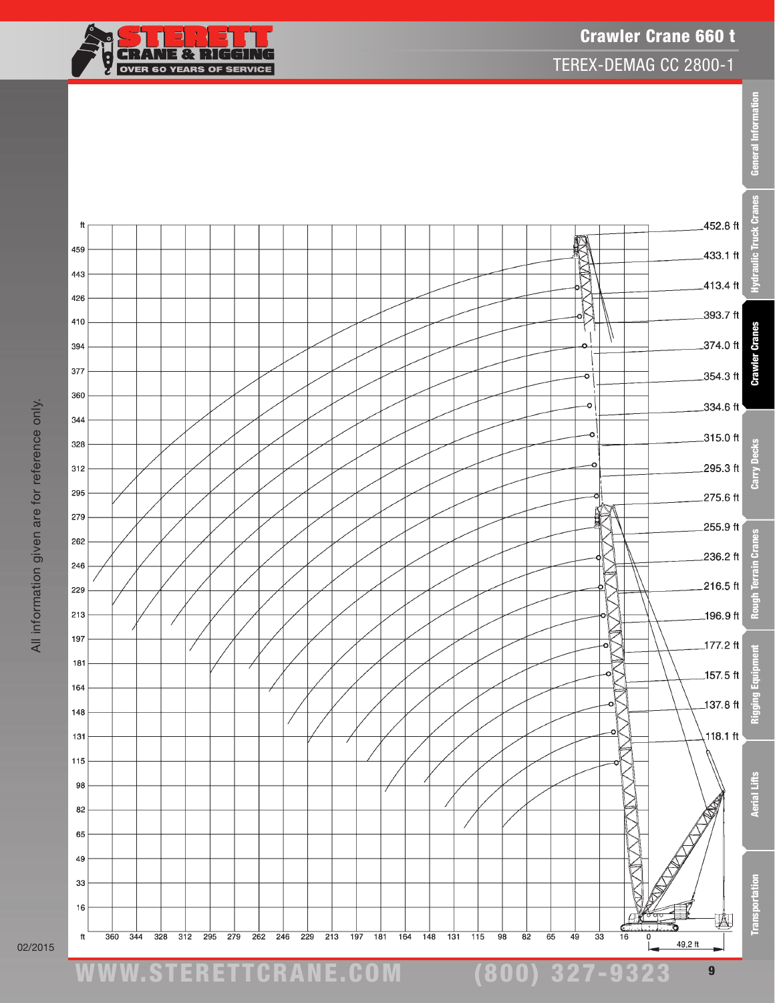

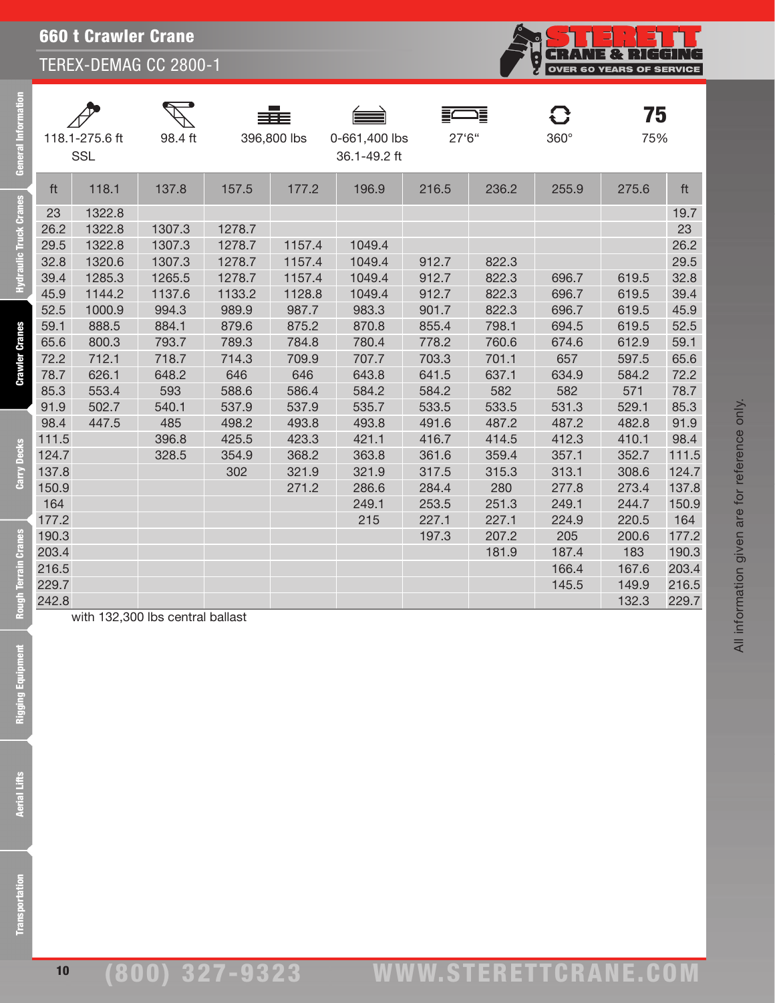| <b>660 t Crawler Crane</b> |  |
|----------------------------|--|
|----------------------------|--|

| ā                    |                | 118.1-275.6 ft<br><b>SSL</b> | 98.4 ft                          |        | 396,800 lbs | 0-661,400 lbs<br>36.1-49.2 ft | 27'6'' | 戸     | $360^\circ$ | 75<br>75%      |       |
|----------------------|----------------|------------------------------|----------------------------------|--------|-------------|-------------------------------|--------|-------|-------------|----------------|-------|
|                      | ft             | 118.1                        | 137.8                            | 157.5  | 177.2       | 196.9                         | 216.5  | 236.2 | 255.9       | 275.6          | ft    |
| ck Cranes            | 23             | 1322.8                       |                                  |        |             |                               |        |       |             |                | 19.7  |
|                      | 26.2           | 1322.8                       | 1307.3                           | 1278.7 |             |                               |        |       |             |                | 23    |
|                      | 29.5           | 1322.8                       | 1307.3                           | 1278.7 | 1157.4      | 1049.4                        |        |       |             |                | 26.2  |
|                      | 32.8           | 1320.6                       | 1307.3                           | 1278.7 | 1157.4      | 1049.4                        | 912.7  | 822.3 |             |                | 29.5  |
| Hydraulic Tru        | 39.4           | 1285.3                       | 1265.5                           | 1278.7 | 1157.4      | 1049.4                        | 912.7  | 822.3 | 696.7       | 619.5          | 32.8  |
|                      | 45.9           | 1144.2                       | 1137.6                           | 1133.2 | 1128.8      | 1049.4                        | 912.7  | 822.3 | 696.7       | 619.5          | 39.4  |
|                      | 52.5           | 1000.9                       | 994.3                            | 989.9  | 987.7       | 983.3                         | 901.7  | 822.3 | 696.7       | 619.5          | 45.9  |
|                      | 59.1           | 888.5                        | 884.1                            | 879.6  | 875.2       | 870.8                         | 855.4  | 798.1 | 694.5       | 619.5          | 52.5  |
| Cranes               | 65.6           | 800.3                        | 793.7                            | 789.3  | 784.8       | 780.4                         | 778.2  | 760.6 | 674.6       | 612.9          | 59.1  |
|                      | 72.2           | 712.1                        | 718.7                            | 714.3  | 709.9       | 707.7                         | 703.3  | 701.1 | 657         | 597.5          | 65.6  |
| Crawler              | 78.7           | 626.1                        | 648.2                            | 646    | 646         | 643.8                         | 641.5  | 637.1 | 634.9       | 584.2          | 72.2  |
|                      | 85.3           | 553.4                        | 593                              | 588.6  | 586.4       | 584.2                         | 584.2  | 582   | 582         | 571            | 78.7  |
|                      | 91.9           | 502.7                        | 540.1                            | 537.9  | 537.9       | 535.7                         | 533.5  | 533.5 | 531.3       | 529.1          | 85.3  |
|                      | 98.4           | 447.5                        | 485                              | 498.2  | 493.8       | 493.8                         | 491.6  | 487.2 | 487.2       | 482.8          | 91.9  |
|                      | 111.5          |                              | 396.8                            | 425.5  | 423.3       | 421.1                         | 416.7  | 414.5 | 412.3       | 410.1          | 98.4  |
|                      | 124.7          |                              | 328.5                            | 354.9  | 368.2       | 363.8                         | 361.6  | 359.4 | 357.1       | 352.7          | 111.5 |
| Carry Decks          | 137.8          |                              |                                  | 302    | 321.9       | 321.9                         | 317.5  | 315.3 | 313.1       | 308.6          | 124.7 |
|                      | 150.9          |                              |                                  |        | 271.2       | 286.6                         | 284.4  | 280   | 277.8       | 273.4          | 137.8 |
|                      | 164            |                              |                                  |        |             | 249.1                         | 253.5  | 251.3 | 249.1       | 244.7          | 150.9 |
|                      | 177.2          |                              |                                  |        |             | 215                           | 227.1  | 227.1 | 224.9       | 220.5          | 164   |
|                      | 190.3          |                              |                                  |        |             |                               | 197.3  | 207.2 | 205         | 200.6          | 177.2 |
|                      | 203.4          |                              |                                  |        |             |                               |        | 181.9 | 187.4       | 183            | 190.3 |
|                      | 216.5<br>229.7 |                              |                                  |        |             |                               |        |       | 166.4       | 167.6          | 203.4 |
|                      | 242.8          |                              |                                  |        |             |                               |        |       | 145.5       | 149.9<br>132.3 | 216.5 |
| Rough Terrain Cranes |                |                              | with 132,300 lbs central ballast |        |             |                               |        |       |             |                | 229.7 |
| Rigging Equipm       |                |                              |                                  |        |             |                               |        |       |             |                |       |
| <b>Aerial Lifts</b>  |                |                              |                                  |        |             |                               |        |       |             |                |       |
| ansportation         |                |                              |                                  |        |             |                               |        |       |             |                |       |

**CRANE & RIGGING**<br>OVER 60 YEARS OF SERVICE

ģ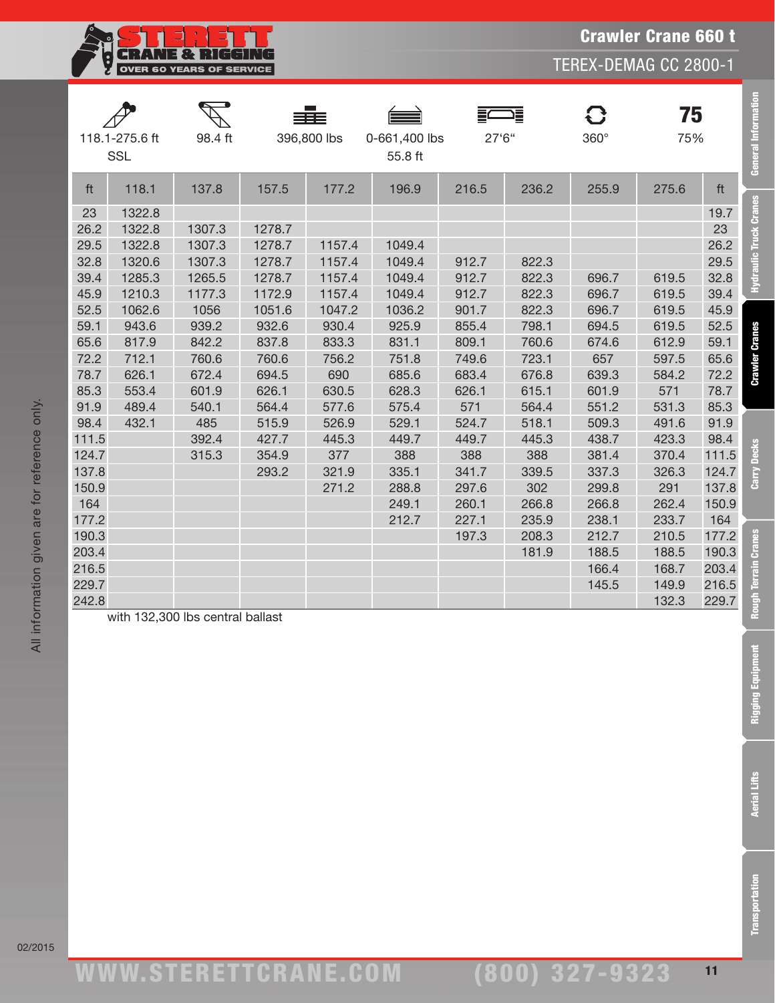**CRANE & RIGGING** 

Ę

F

TEREX-DEMAG CC 2800-1

| 118.1-275.6 ft<br><b>SSL</b> |        | 98.4 ft                          |        | 396,800 lbs | 0-661,400 lbs<br>55.8 ft | 27'6" | ∍≣    | 8<br>360° | 75<br>75% |       | <b>General Informatio</b> |
|------------------------------|--------|----------------------------------|--------|-------------|--------------------------|-------|-------|-----------|-----------|-------|---------------------------|
| ft                           | 118.1  | 137.8                            | 157.5  | 177.2       | 196.9                    | 216.5 | 236.2 | 255.9     | 275.6     | ft    |                           |
| 23                           | 1322.8 |                                  |        |             |                          |       |       |           |           | 19.7  | Hydraulic Truck Cranes    |
| 26.2                         | 1322.8 | 1307.3                           | 1278.7 |             |                          |       |       |           |           | 23    |                           |
| 29.5                         | 1322.8 | 1307.3                           | 1278.7 | 1157.4      | 1049.4                   |       |       |           |           | 26.2  |                           |
| 32.8                         | 1320.6 | 1307.3                           | 1278.7 | 1157.4      | 1049.4                   | 912.7 | 822.3 |           |           | 29.5  |                           |
| 39.4                         | 1285.3 | 1265.5                           | 1278.7 | 1157.4      | 1049.4                   | 912.7 | 822.3 | 696.7     | 619.5     | 32.8  |                           |
| 45.9                         | 1210.3 | 1177.3                           | 1172.9 | 1157.4      | 1049.4                   | 912.7 | 822.3 | 696.7     | 619.5     | 39.4  |                           |
| 52.5                         | 1062.6 | 1056                             | 1051.6 | 1047.2      | 1036.2                   | 901.7 | 822.3 | 696.7     | 619.5     | 45.9  |                           |
| 59.1                         | 943.6  | 939.2                            | 932.6  | 930.4       | 925.9                    | 855.4 | 798.1 | 694.5     | 619.5     | 52.5  |                           |
| 65.6                         | 817.9  | 842.2                            | 837.8  | 833.3       | 831.1                    | 809.1 | 760.6 | 674.6     | 612.9     | 59.1  |                           |
| 72.2                         | 712.1  | 760.6                            | 760.6  | 756.2       | 751.8                    | 749.6 | 723.1 | 657       | 597.5     | 65.6  | <b>Crawler Cranes</b>     |
| 78.7                         | 626.1  | 672.4                            | 694.5  | 690         | 685.6                    | 683.4 | 676.8 | 639.3     | 584.2     | 72.2  |                           |
| 85.3                         | 553.4  | 601.9                            | 626.1  | 630.5       | 628.3                    | 626.1 | 615.1 | 601.9     | 571       | 78.7  |                           |
| 91.9                         | 489.4  | 540.1                            | 564.4  | 577.6       | 575.4                    | 571   | 564.4 | 551.2     | 531.3     | 85.3  |                           |
| 98.4                         | 432.1  | 485                              | 515.9  | 526.9       | 529.1                    | 524.7 | 518.1 | 509.3     | 491.6     | 91.9  |                           |
| 111.5                        |        | 392.4                            | 427.7  | 445.3       | 449.7                    | 449.7 | 445.3 | 438.7     | 423.3     | 98.4  |                           |
| 124.7                        |        | 315.3                            | 354.9  | 377         | 388                      | 388   | 388   | 381.4     | 370.4     | 111.5 | <b>Decks</b>              |
| 137.8                        |        |                                  | 293.2  | 321.9       | 335.1                    | 341.7 | 339.5 | 337.3     | 326.3     | 124.7 | Carry                     |
| 150.9                        |        |                                  |        | 271.2       | 288.8                    | 297.6 | 302   | 299.8     | 291       | 137.8 |                           |
| 164                          |        |                                  |        |             | 249.1                    | 260.1 | 266.8 | 266.8     | 262.4     | 150.9 |                           |
| 177.2                        |        |                                  |        |             | 212.7                    | 227.1 | 235.9 | 238.1     | 233.7     | 164   |                           |
| 190.3                        |        |                                  |        |             |                          | 197.3 | 208.3 | 212.7     | 210.5     | 177.2 | <b>Cranes</b>             |
| 203.4                        |        |                                  |        |             |                          |       | 181.9 | 188.5     | 188.5     | 190.3 |                           |
| 216.5                        |        |                                  |        |             |                          |       |       | 166.4     | 168.7     | 203.4 | Terrain                   |
| 229.7                        |        |                                  |        |             |                          |       |       | 145.5     | 149.9     | 216.5 |                           |
| 242.8                        |        |                                  |        |             |                          |       |       |           | 132.3     | 229.7 | Rough                     |
|                              |        | with 132,300 lbs central ballast |        |             |                          |       |       |           |           |       |                           |

with 132,300 lbs central ballast

02/2015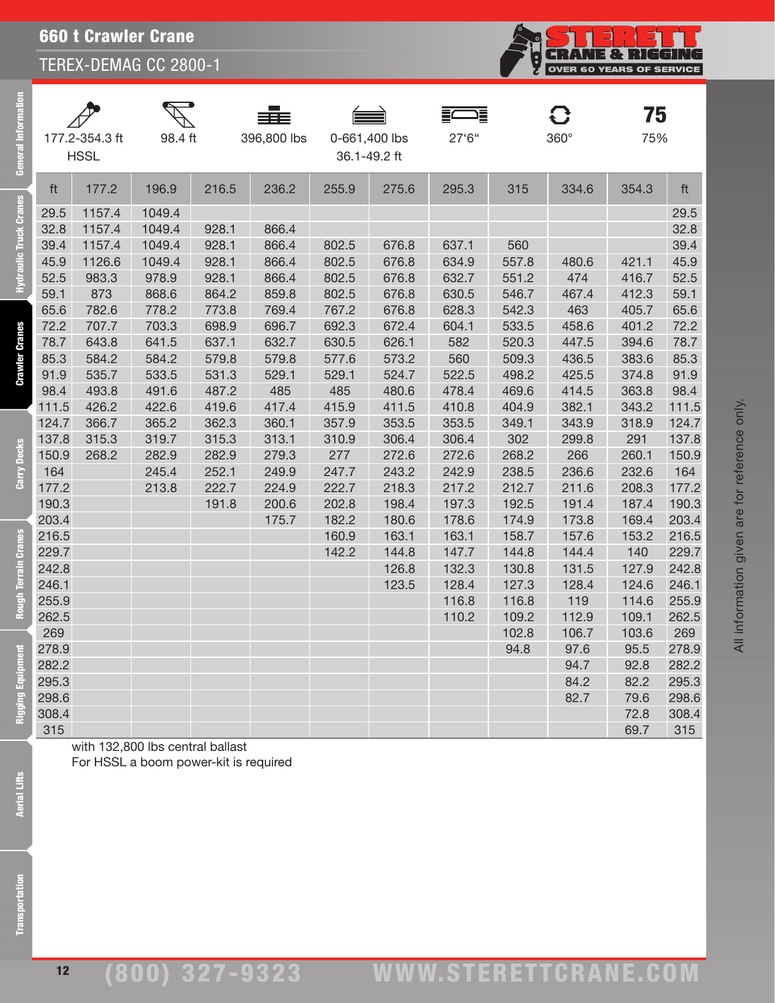| General Informa               |                | 177.2-354.3 ft<br><b>HSSL</b> | 98.4 ft                               |                | 396,800 lbs    | 0-661,400 lbs<br>36.1-49.2 ft |                | 這<br>27'6"     |              | $360^\circ$  | 75<br>75%    |                |
|-------------------------------|----------------|-------------------------------|---------------------------------------|----------------|----------------|-------------------------------|----------------|----------------|--------------|--------------|--------------|----------------|
|                               | ft             | 177.2                         | 196.9                                 | 216.5          | 236.2          | 255.9                         | 275.6          | 295.3          | 315          | 334.6        | 354.3        | ft             |
| <b>Hydraulic Truck Cranes</b> | 29.5           | 1157.4                        | 1049.4                                |                |                |                               |                |                |              |              |              | 29.5           |
|                               | 32.8           | 1157.4                        | 1049.4                                | 928.1          | 866.4          |                               |                |                |              |              |              | 32.8           |
|                               | 39.4           | 1157.4                        | 1049.4                                | 928.1          | 866.4          | 802.5                         | 676.8          | 637.1          | 560          |              |              | 39.4           |
|                               | 45.9           | 1126.6                        | 1049.4                                | 928.1          | 866.4          | 802.5                         | 676.8          | 634.9          | 557.8        | 480.6        | 421.1        | 45.9           |
|                               | 52.5           | 983.3                         | 978.9                                 | 928.1          | 866.4          | 802.5                         | 676.8          | 632.7          | 551.2        | 474          | 416.7        | 52.5           |
|                               | 59.1           | 873                           | 868.6                                 | 864.2          | 859.8          | 802.5                         | 676.8          | 630.5          | 546.7        | 467.4        | 412.3        | 59.1           |
|                               | 65.6           | 782.6                         | 778.2                                 | 773.8          | 769.4          | 767.2                         | 676.8          | 628.3          | 542.3        | 463          | 405.7        | 65.6           |
|                               | 72.2           | 707.7                         | 703.3                                 | 698.9          | 696.7          | 692.3                         | 672.4          | 604.1          | 533.5        | 458.6        | 401.2        | 72.2           |
| <b>Crawler Cranes</b>         | 78.7           | 643.8                         | 641.5                                 | 637.1          | 632.7          | 630.5                         | 626.1          | 582            | 520.3        | 447.5        | 394.6        | 78.7           |
|                               | 85.3           | 584.2                         | 584.2                                 | 579.8          | 579.8          | 577.6                         | 573.2          | 560            | 509.3        | 436.5        | 383.6        | 85.3           |
|                               | 91.9           | 535.7                         | 533.5                                 | 531.3          | 529.1          | 529.1                         | 524.7          | 522.5          | 498.2        | 425.5        | 374.8        | 91.9           |
|                               | 98.4           | 493.8                         | 491.6                                 | 487.2          | 485            | 485                           | 480.6          | 478.4          | 469.6        | 414.5        | 363.8        | 98.4           |
|                               | 111.5          | 426.2                         | 422.6                                 | 419.6          | 417.4          | 415.9                         | 411.5          | 410.8          | 404.9        | 382.1        | 343.2        | 111.5          |
|                               | 124.7<br>137.8 | 366.7                         | 365.2                                 | 362.3          | 360.1          | 357.9                         | 353.5          | 353.5          | 349.1        | 343.9        | 318.9        | 124.7          |
| <b>Decks</b>                  | 150.9          | 315.3<br>268.2                | 319.7<br>282.9                        | 315.3<br>282.9 | 313.1<br>279.3 | 310.9<br>277                  | 306.4<br>272.6 | 306.4<br>272.6 | 302<br>268.2 | 299.8<br>266 | 291<br>260.1 | 137.8<br>150.9 |
|                               | 164            |                               | 245.4                                 | 252.1          | 249.9          | 247.7                         | 243.2          | 242.9          | 238.5        | 236.6        | 232.6        | 164            |
| Carry                         | 177.2          |                               | 213.8                                 | 222.7          | 224.9          | 222.7                         | 218.3          | 217.2          | 212.7        | 211.6        | 208.3        | 177.2          |
|                               | 190.3          |                               |                                       | 191.8          | 200.6          | 202.8                         | 198.4          | 197.3          | 192.5        | 191.4        | 187.4        | 190.3          |
|                               | 203.4          |                               |                                       |                | 175.7          | 182.2                         | 180.6          | 178.6          | 174.9        | 173.8        | 169.4        | 203.4          |
|                               | 216.5          |                               |                                       |                |                | 160.9                         | 163.1          | 163.1          | 158.7        | 157.6        | 153.2        | 216.5          |
|                               | 229.7          |                               |                                       |                |                | 142.2                         | 144.8          | 147.7          | 144.8        | 144.4        | 140          | 229.7          |
|                               | 242.8          |                               |                                       |                |                |                               | 126.8          | 132.3          | 130.8        | 131.5        | 127.9        | 242.8          |
| Rough Terrain Cranes          | 246.1          |                               |                                       |                |                |                               | 123.5          | 128.4          | 127.3        | 128.4        | 124.6        | 246.1          |
|                               | 255.9          |                               |                                       |                |                |                               |                | 116.8          | 116.8        | 119          | 114.6        | 255.9          |
|                               | 262.5          |                               |                                       |                |                |                               |                | 110.2          | 109.2        | 112.9        | 109.1        | 262.5          |
|                               | 269            |                               |                                       |                |                |                               |                |                | 102.8        | 106.7        | 103.6        | 269            |
| Tent                          | 278.9          |                               |                                       |                |                |                               |                |                | 94.8         | 97.6         | 95.5         | 278.9          |
|                               | 282.2          |                               |                                       |                |                |                               |                |                |              | 94.7         | 92.8         | 282.2          |
|                               | 295.3          |                               |                                       |                |                |                               |                |                |              | 84.2         | 82.2         | 295.3          |
| Rigging Equipm                | 298.6          |                               |                                       |                |                |                               |                |                |              | 82.7         | 79.6         | 298.6          |
|                               | 308.4          |                               |                                       |                |                |                               |                |                |              |              | 72.8         | 308.4          |
|                               | 315            |                               | with 132,800 lbs central ballast      |                |                |                               |                |                |              |              | 69.7         | 315            |
|                               |                |                               | For HSSL a boom power-kit is required |                |                |                               |                |                |              |              |              |                |
| <b>Aerial Lifts</b>           |                |                               |                                       |                |                |                               |                |                |              |              |              |                |
| ransportation                 |                |                               |                                       |                |                |                               |                |                |              |              |              |                |

**CRANE & RIGGING**<br>OVER 60 YEARS OF SERVICE

**Aerial Lifts**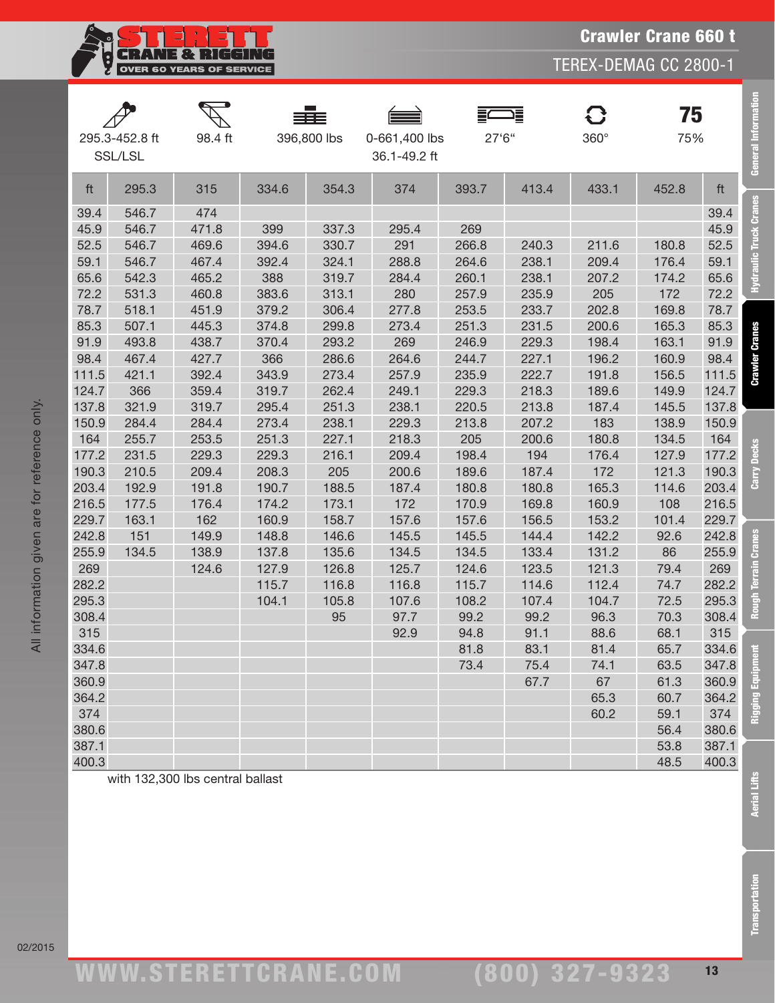$\overline{\mathbb{F}}$ 

Crawler Crane 660 t

TEREX-DEMAG CC 2800-1

|                | 295.3-452.8 ft<br>SSL/LSL | 98.4 ft                          |                | 396,800 lbs    | 0-661,400 lbs<br>36.1-49.2 ft | 27'6"          | 這             | <b>C</b><br>$360^\circ$ | 75<br>75%    |                | General                |
|----------------|---------------------------|----------------------------------|----------------|----------------|-------------------------------|----------------|---------------|-------------------------|--------------|----------------|------------------------|
| ft             | 295.3                     | 315                              | 334.6          | 354.3          | 374                           | 393.7          | 413.4         | 433.1                   | 452.8        | ft             |                        |
| 39.4           | 546.7                     | 474                              |                |                |                               |                |               |                         |              | 39.4           | Hydraulic Truck Cranes |
| 45.9           | 546.7                     | 471.8                            | 399            | 337.3          | 295.4                         | 269            |               |                         |              | 45.9           |                        |
| 52.5           | 546.7                     | 469.6                            | 394.6          | 330.7          | 291                           | 266.8          | 240.3         | 211.6                   | 180.8        | 52.5           |                        |
| 59.1           | 546.7                     | 467.4                            | 392.4          | 324.1          | 288.8                         | 264.6          | 238.1         | 209.4                   | 176.4        | 59.1           |                        |
| 65.6           | 542.3                     | 465.2                            | 388            | 319.7          | 284.4                         | 260.1          | 238.1         | 207.2                   | 174.2        | 65.6           |                        |
| 72.2           | 531.3                     | 460.8                            | 383.6          | 313.1          | 280                           | 257.9          | 235.9         | 205                     | 172          | 72.2           |                        |
| 78.7           | 518.1                     | 451.9                            | 379.2          | 306.4          | 277.8                         | 253.5          | 233.7         | 202.8                   | 169.8        | 78.7           |                        |
| 85.3           | 507.1                     | 445.3                            | 374.8          | 299.8          | 273.4                         | 251.3          | 231.5         | 200.6                   | 165.3        | 85.3           |                        |
| 91.9           | 493.8                     | 438.7                            | 370.4          | 293.2          | 269                           | 246.9          | 229.3         | 198.4                   | 163.1        | 91.9           | <b>Crawler Cranes</b>  |
| 98.4           | 467.4                     | 427.7                            | 366            | 286.6          | 264.6                         | 244.7          | 227.1         | 196.2                   | 160.9        | 98.4           |                        |
| 111.5          | 421.1                     | 392.4                            | 343.9          | 273.4          | 257.9                         | 235.9          | 222.7         | 191.8                   | 156.5        | 111.5          |                        |
| 124.7          | 366                       | 359.4                            | 319.7          | 262.4          | 249.1                         | 229.3          | 218.3         | 189.6                   | 149.9        | 124.7          |                        |
| 137.8          | 321.9                     | 319.7                            | 295.4          | 251.3          | 238.1                         | 220.5          | 213.8         | 187.4                   | 145.5        | 137.8          |                        |
| 150.9          | 284.4                     | 284.4                            | 273.4          | 238.1          | 229.3                         | 213.8          | 207.2         | 183                     | 138.9        | 150.9          |                        |
| 164            | 255.7                     | 253.5                            | 251.3          | 227.1          | 218.3                         | 205            | 200.6         | 180.8                   | 134.5        | 164            | <b>Decks</b>           |
| 177.2          | 231.5                     | 229.3                            | 229.3          | 216.1          | 209.4                         | 198.4          | 194           | 176.4                   | 127.9        | 177.2          |                        |
| 190.3          | 210.5                     | 209.4                            | 208.3          | 205            | 200.6                         | 189.6          | 187.4         | 172                     | 121.3        | 190.3          | Carry                  |
| 203.4          | 192.9                     | 191.8                            | 190.7          | 188.5          | 187.4                         | 180.8          | 180.8         | 165.3                   | 114.6        | 203.4          |                        |
| 216.5          | 177.5                     | 176.4                            | 174.2          | 173.1          | 172                           | 170.9          | 169.8         | 160.9                   | 108          | 216.5          |                        |
| 229.7          | 163.1                     | 162                              | 160.9          | 158.7          | 157.6                         | 157.6          | 156.5         | 153.2                   | 101.4        | 229.7          |                        |
| 242.8          | 151                       | 149.9                            | 148.8          | 146.6          | 145.5                         | 145.5          | 144.4         | 142.2                   | 92.6         | 242.8          | <b>Cranes</b>          |
| 255.9          | 134.5                     | 138.9                            | 137.8          | 135.6          | 134.5                         | 134.5          | 133.4         | 131.2                   | 86           | 255.9          |                        |
| 269            |                           | 124.6                            | 127.9          | 126.8          | 125.7                         | 124.6          | 123.5         | 121.3                   | 79.4         | 269            | rin<br>ē               |
| 282.2<br>295.3 |                           |                                  | 115.7<br>104.1 | 116.8<br>105.8 | 116.8                         | 115.7<br>108.2 | 114.6         | 112.4<br>104.7          | 74.7         | 282.2          |                        |
| 308.4          |                           |                                  |                | 95             | 107.6<br>97.7                 | 99.2           | 107.4<br>99.2 | 96.3                    | 72.5<br>70.3 | 295.3<br>308.4 | 뎙                      |
| 315            |                           |                                  |                |                | 92.9                          | 94.8           | 91.1          | 88.6                    | 68.1         | 315            |                        |
| 334.6          |                           |                                  |                |                |                               | 81.8           | 83.1          | 81.4                    | 65.7         | 334.6          |                        |
| 347.8          |                           |                                  |                |                |                               | 73.4           | 75.4          | 74.1                    | 63.5         | 347.8          |                        |
| 360.9          |                           |                                  |                |                |                               |                | 67.7          | 67                      | 61.3         | 360.9          |                        |
| 364.2          |                           |                                  |                |                |                               |                |               | 65.3                    | 60.7         | 364.2          |                        |
| 374            |                           |                                  |                |                |                               |                |               | 60.2                    | 59.1         | 374            | Rigging Equipm         |
| 380.6          |                           |                                  |                |                |                               |                |               |                         | 56.4         | 380.6          |                        |
| 387.1          |                           |                                  |                |                |                               |                |               |                         | 53.8         | 387.1          |                        |
| 400.3          |                           |                                  |                |                |                               |                |               |                         | 48.5         | 400.3          |                        |
|                |                           | with 132,300 lbs central ballast |                |                |                               |                |               |                         |              |                | <b>Aerial Lifts</b>    |
|                |                           |                                  |                |                |                               |                |               |                         |              |                | <b>Transportation</b>  |

All information given are for reference only.

All information given are for reference only.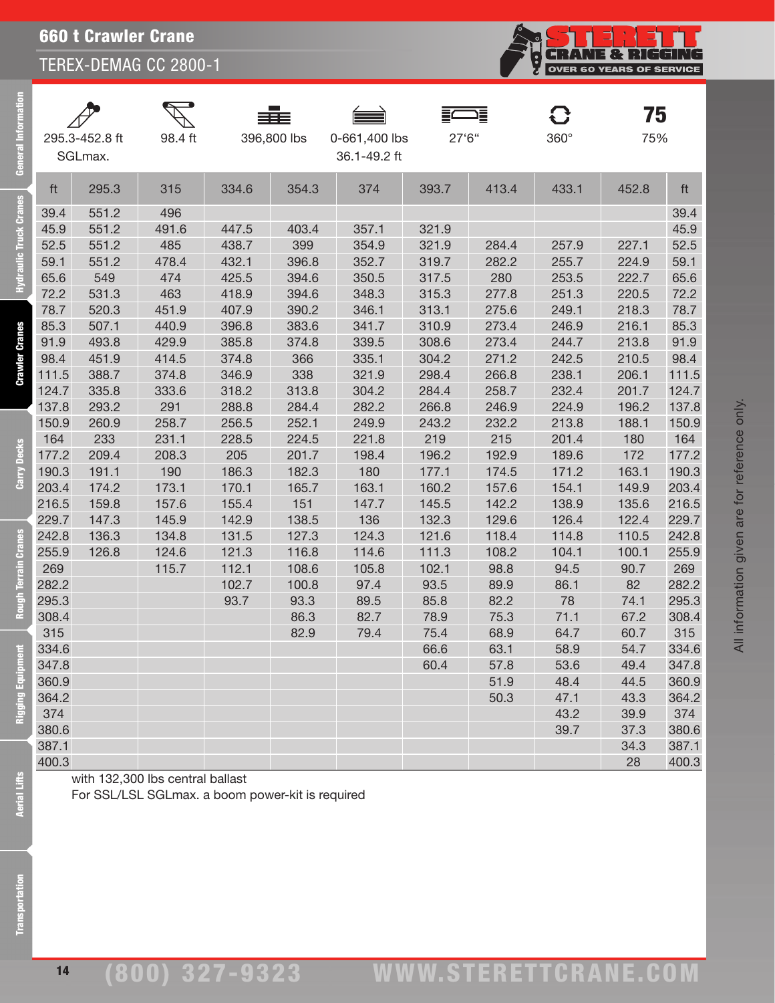660 t Crawler Crane

TEREX-DEMAG CC 2800-1

| පී            |                | 295.3-452.8 ft<br>SGLmax. | 98.4 ft                                          |               | 396,800 lbs   | 0-661,400 lbs<br>36.1-49.2 ft | 27'6"        |              | $360^\circ$ | 75<br>75%  |              |
|---------------|----------------|---------------------------|--------------------------------------------------|---------------|---------------|-------------------------------|--------------|--------------|-------------|------------|--------------|
| S.            | ft             | 295.3                     | 315                                              | 334.6         | 354.3         | 374                           | 393.7        | 413.4        | 433.1       | 452.8      | ft           |
|               | 39.4           | 551.2                     | 496                                              |               |               |                               |              |              |             |            | 39.4         |
| ic Truck Cran | 45.9           | 551.2                     | 491.6                                            | 447.5         | 403.4         | 357.1                         | 321.9        |              |             |            | 45.9         |
|               | 52.5           | 551.2                     | 485                                              | 438.7         | 399           | 354.9                         | 321.9        | 284.4        | 257.9       | 227.1      | 52.5         |
|               | 59.1           | 551.2                     | 478.4                                            | 432.1         | 396.8         | 352.7                         | 319.7        | 282.2        | 255.7       | 224.9      | 59.1         |
|               | 65.6           | 549                       | 474                                              | 425.5         | 394.6         | 350.5                         | 317.5        | 280          | 253.5       | 222.7      | 65.6         |
|               | 72.2           | 531.3                     | 463                                              | 418.9         | 394.6         | 348.3                         | 315.3        | 277.8        | 251.3       | 220.5      | 72.2         |
|               | 78.7           | 520.3                     | 451.9                                            | 407.9         | 390.2         | 346.1                         | 313.1        | 275.6        | 249.1       | 218.3      | 78.7         |
|               | 85.3           | 507.1                     | 440.9                                            | 396.8         | 383.6         | 341.7                         | 310.9        | 273.4        | 246.9       | 216.1      | 85.3         |
| Cranes        | 91.9           | 493.8                     | 429.9                                            | 385.8         | 374.8         | 339.5                         | 308.6        | 273.4        | 244.7       | 213.8      | 91.9         |
|               | 98.4           | 451.9                     | 414.5                                            | 374.8         | 366           | 335.1                         | 304.2        | 271.2        | 242.5       | 210.5      | 98.4         |
| Crawler       | 111.5          | 388.7                     | 374.8                                            | 346.9         | 338           | 321.9                         | 298.4        | 266.8        | 238.1       | 206.1      | 111.5        |
|               | 124.7          | 335.8                     | 333.6                                            | 318.2         | 313.8         | 304.2                         | 284.4        | 258.7        | 232.4       | 201.7      | 124.7        |
|               | 137.8          | 293.2                     | 291                                              | 288.8         | 284.4         | 282.2                         | 266.8        | 246.9        | 224.9       | 196.2      | 137.8        |
|               | 150.9          | 260.9                     | 258.7                                            | 256.5         | 252.1         | 249.9                         | 243.2        | 232.2        | 213.8       | 188.1      | 150.9        |
| <b>Decks</b>  | 164            | 233                       | 231.1                                            | 228.5         | 224.5         | 221.8                         | 219          | 215          | 201.4       | 180        | 164          |
|               | 177.2          | 209.4                     | 208.3                                            | 205           | 201.7         | 198.4                         | 196.2        | 192.9        | 189.6       | 172        | 177.2        |
| ē             | 190.3          | 191.1                     | 190                                              | 186.3         | 182.3         | 180                           | 177.1        | 174.5        | 171.2       | 163.1      | 190.3        |
|               | 203.4          | 174.2                     | 173.1                                            | 170.1         | 165.7         | 163.1                         | 160.2        | 157.6        | 154.1       | 149.9      | 203.4        |
|               | 216.5          | 159.8                     | 157.6                                            | 155.4         | 151           | 147.7                         | 145.5        | 142.2        | 138.9       | 135.6      | 216.5        |
|               | 229.7          | 147.3                     | 145.9                                            | 142.9         | 138.5         | 136                           | 132.3        | 129.6        | 126.4       | 122.4      | 229.7        |
| $\mathbf{a}$  | 242.8          | 136.3                     | 134.8                                            | 131.5         | 127.3         | 124.3                         | 121.6        | 118.4        | 114.8       | 110.5      | 242.8        |
| ຮຶ            | 255.9          | 126.8                     | 124.6                                            | 121.3         | 116.8         | 114.6                         | 111.3        | 108.2        | 104.1       | 100.1      | 255.9        |
|               | 269            |                           | 115.7                                            | 112.1         | 108.6         | 105.8                         | 102.1        | 98.8         | 94.5        | 90.7       | 269<br>282.2 |
|               | 282.2<br>295.3 |                           |                                                  | 102.7<br>93.7 | 100.8<br>93.3 | 97.4<br>89.5                  | 93.5<br>85.8 | 89.9<br>82.2 | 86.1<br>78  | 82<br>74.1 | 295.3        |
|               | 308.4          |                           |                                                  |               | 86.3          | 82.7                          | 78.9         | 75.3         | 71.1        | 67.2       | 308.4        |
|               | 315            |                           |                                                  |               | 82.9          | 79.4                          | 75.4         | 68.9         | 64.7        | 60.7       | 315          |
|               | 334.6          |                           |                                                  |               |               |                               | 66.6         | 63.1         | 58.9        | 54.7       | 334.6        |
|               | 347.8          |                           |                                                  |               |               |                               | 60.4         | 57.8         | 53.6        | 49.4       | 347.8        |
|               | 360.9          |                           |                                                  |               |               |                               |              | 51.9         | 48.4        | 44.5       | 360.9        |
|               | 364.2          |                           |                                                  |               |               |                               |              | 50.3         | 47.1        | 43.3       | 364.2        |
|               | 374            |                           |                                                  |               |               |                               |              |              | 43.2        | 39.9       | 374          |
|               | 380.6          |                           |                                                  |               |               |                               |              |              | 39.7        | 37.3       | 380.6        |
|               | 387.1          |                           |                                                  |               |               |                               |              |              |             | 34.3       | 387.1        |
|               | 400.3          |                           |                                                  |               |               |                               |              |              |             | 28         | 400.3        |
|               |                |                           | with 132,300 lbs central ballast                 |               |               |                               |              |              |             |            |              |
| Aerial Lifts  |                |                           | For SSL/LSL SGLmax. a boom power-kit is required |               |               |                               |              |              |             |            |              |
|               |                |                           |                                                  |               |               |                               |              |              |             |            |              |

**Transportation** 

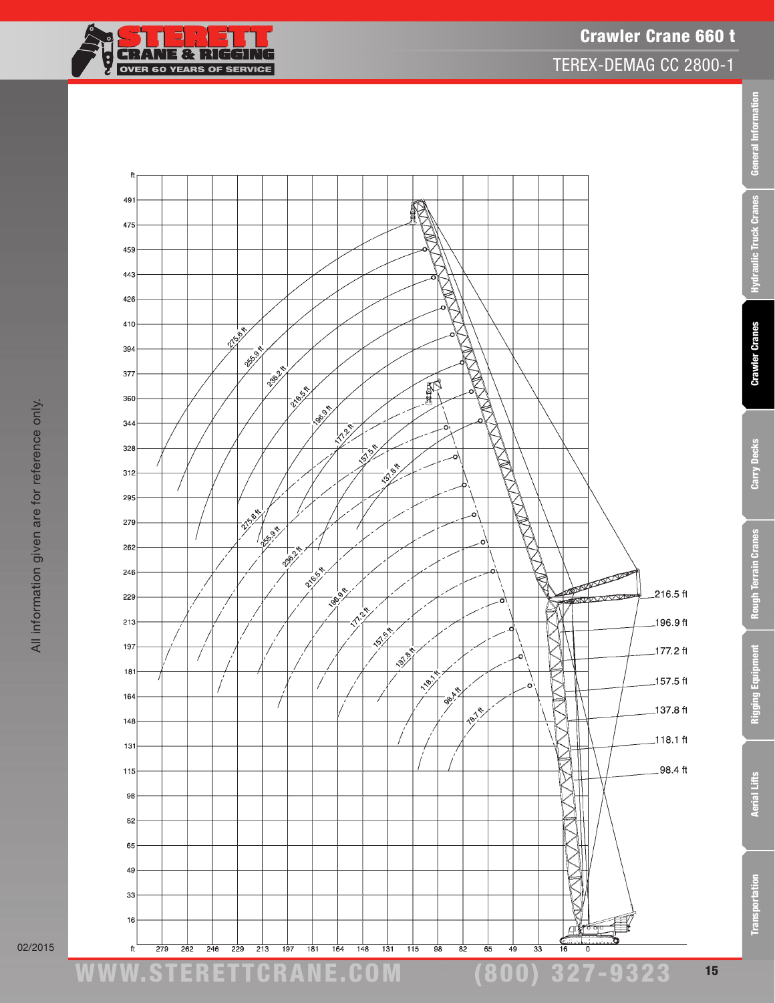



General Information

Hydraulic Truck Cranes

**Crawler Cranes** 

Carry Decks

Rough Terrain Cranes

Rigging Equipment

TEREX-DEMAG CC 2800-1



02/2015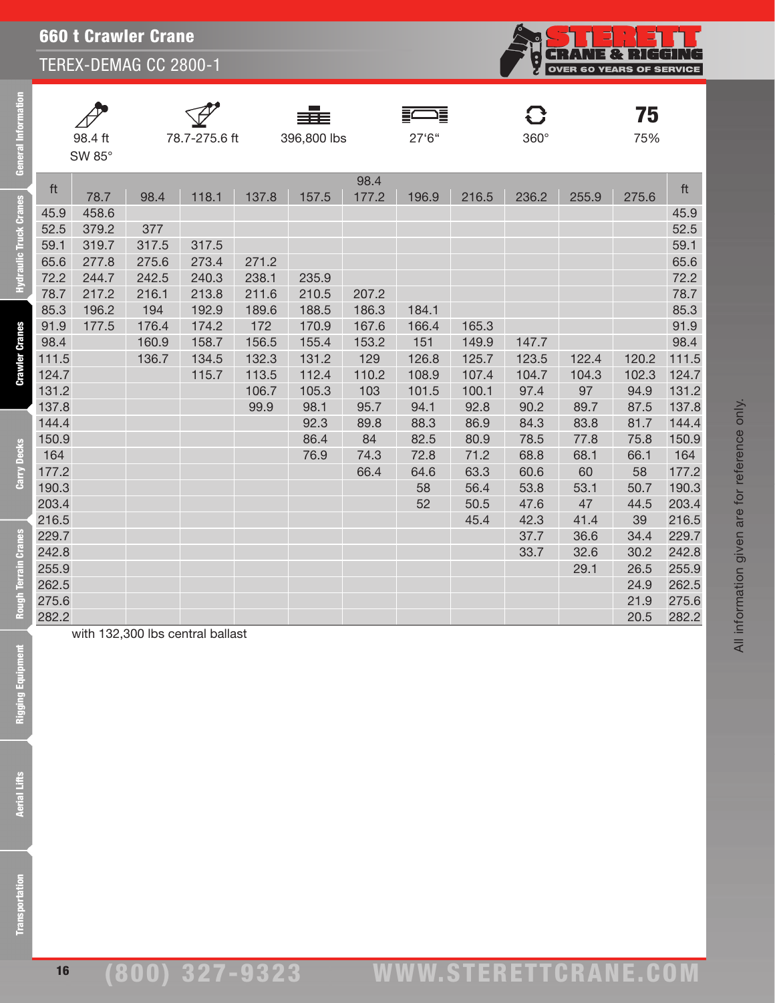|                | <b>660 t Crawler Crane</b><br>.<br>R<br>TEREX-DEMAG CC 2800-1<br><b>OVER 60</b><br><b>YEARS</b><br><b>OF</b> |                |                |       |             |       |          |              |              |            |              |                |  |  |
|----------------|--------------------------------------------------------------------------------------------------------------|----------------|----------------|-------|-------------|-------|----------|--------------|--------------|------------|--------------|----------------|--|--|
|                |                                                                                                              |                |                |       |             |       |          |              |              |            |              |                |  |  |
|                |                                                                                                              |                |                |       |             |       |          |              |              |            |              |                |  |  |
|                |                                                                                                              |                |                |       |             |       |          |              | C.           |            | 75           |                |  |  |
|                | 98.4 ft                                                                                                      |                | 78.7-275.6 ft  |       | 396,800 lbs |       | 27'6"    |              | 360°         |            | 75%          |                |  |  |
|                | SW 85°                                                                                                       |                |                |       |             |       |          |              |              |            |              |                |  |  |
|                |                                                                                                              |                |                |       |             | 98.4  |          |              |              |            |              |                |  |  |
| ft             | 78.7                                                                                                         | 98.4           | 118.1          | 137.8 | 157.5       | 177.2 | 196.9    | 216.5        | 236.2        | 255.9      | 275.6        | ft             |  |  |
| 45.9           | 458.6                                                                                                        |                |                |       |             |       |          |              |              |            |              | 45.9           |  |  |
| 52.5           | 379.2                                                                                                        | 377            |                |       |             |       |          |              |              |            |              | 52.5           |  |  |
| 59.1<br>65.6   | 319.7<br>277.8                                                                                               | 317.5<br>275.6 | 317.5<br>273.4 | 271.2 |             |       |          |              |              |            |              | 59.1<br>65.6   |  |  |
| 72.2           | 244.7                                                                                                        | 242.5          | 240.3          | 238.1 | 235.9       |       |          |              |              |            |              | 72.2           |  |  |
| 78.7           | 217.2                                                                                                        | 216.1          | 213.8          | 211.6 | 210.5       | 207.2 |          |              |              |            |              | 78.7           |  |  |
| 85.3           | 196.2                                                                                                        | 194            | 192.9          | 189.6 | 188.5       | 186.3 | 184.1    |              |              |            |              | 85.3           |  |  |
| 91.9           | 177.5                                                                                                        | 176.4          | 174.2          | 172   | 170.9       | 167.6 | 166.4    | 165.3        |              |            |              | 91.9           |  |  |
| 98.4           |                                                                                                              | 160.9          | 158.7          | 156.5 | 155.4       | 153.2 | 151      | 149.9        | 147.7        |            |              | 98.4           |  |  |
| 111.5          |                                                                                                              | 136.7          | 134.5          | 132.3 | 131.2       | 129   | 126.8    | 125.7        | 123.5        | 122.4      | 120.2        | 111.5          |  |  |
| 124.7          |                                                                                                              |                | 115.7          | 113.5 | 112.4       | 110.2 | 108.9    | 107.4        | 104.7        | 104.3      | 102.3        | 124.7          |  |  |
| 131.2          |                                                                                                              |                |                | 106.7 | 105.3       | 103   | 101.5    | 100.1        | 97.4         | 97         | 94.9         | 131.2          |  |  |
| 137.8          |                                                                                                              |                |                | 99.9  | 98.1        | 95.7  | 94.1     | 92.8         | 90.2         | 89.7       | 87.5         | 137.8          |  |  |
| 144.4          |                                                                                                              |                |                |       | 92.3        | 89.8  | 88.3     | 86.9         | 84.3         | 83.8       | 81.7         | 144.4          |  |  |
| 150.9          |                                                                                                              |                |                |       | 86.4        | 84    | 82.5     | 80.9         | 78.5         | 77.8       | 75.8         | 150.9          |  |  |
| 164            |                                                                                                              |                |                |       | 76.9        | 74.3  | 72.8     | 71.2         | 68.8         | 68.1       | 66.1         | 164            |  |  |
| 177.2          |                                                                                                              |                |                |       |             | 66.4  | 64.6     | 63.3         | 60.6         | 60         | 58           | 177.2          |  |  |
| 190.3<br>203.4 |                                                                                                              |                |                |       |             |       | 58<br>52 | 56.4<br>50.5 | 53.8<br>47.6 | 53.1<br>47 | 50.7<br>44.5 | 190.3<br>203.4 |  |  |
| 216.5          |                                                                                                              |                |                |       |             |       |          | 45.4         | 42.3         | 41.4       | 39           | 216.5          |  |  |
| 229.7          |                                                                                                              |                |                |       |             |       |          |              | 37.7         | 36.6       | 34.4         | 229.7          |  |  |
| 242.8          |                                                                                                              |                |                |       |             |       |          |              | 33.7         | 32.6       | 30.2         | 242.8          |  |  |
| 255.9          |                                                                                                              |                |                |       |             |       |          |              |              | 29.1       | 26.5         | 255.9          |  |  |
| 262.5          |                                                                                                              |                |                |       |             |       |          |              |              |            | 24.9         | 262.5          |  |  |
| 275.6          |                                                                                                              |                |                |       |             |       |          |              |              |            | 21.9         | 275.6          |  |  |
| 282.2          |                                                                                                              |                |                |       |             |       |          |              |              |            | 20.5         | 282.2          |  |  |

#### with 132,300 lbs central ballast

**Rough Terrain Cranes** 

General

**Hydraulic Truck Cranes** 

**Crawler Cranes** 

**Carry Decks** 

16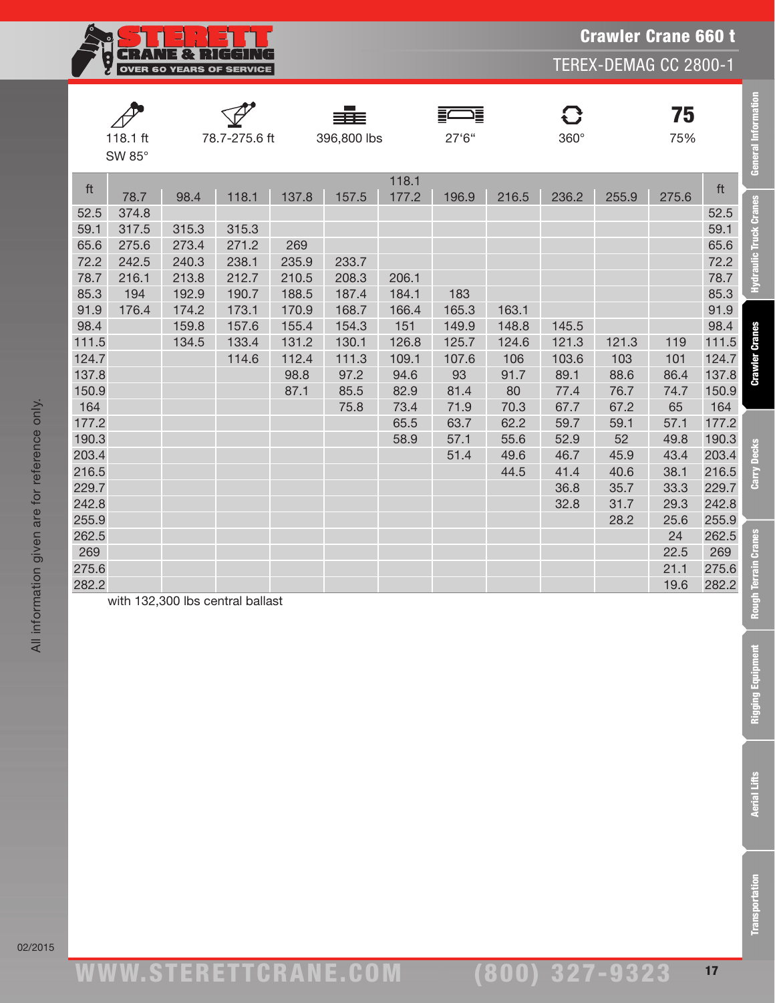**CRANE & RIGGING** Ę OVER 60 YEARS OF SERVICE

TEREX-DEMAG CC 2800-1

|       | 118.1 ft<br>SW 85° |       | 78.7-275.6 ft                    |       | 396,800 lbs |                | 27'6'' |       | { }<br>$360^\circ$ |       | 75<br>75% |       | <b>General Information</b>  |
|-------|--------------------|-------|----------------------------------|-------|-------------|----------------|--------|-------|--------------------|-------|-----------|-------|-----------------------------|
| ft    | 78.7               | 98.4  | 118.1                            | 137.8 | 157.5       | 118.1<br>177.2 | 196.9  | 216.5 | 236.2              | 255.9 | 275.6     | ft    |                             |
| 52.5  | 374.8              |       |                                  |       |             |                |        |       |                    |       |           | 52.5  | Hydraulic Truck Cranes      |
| 59.1  | 317.5              | 315.3 | 315.3                            |       |             |                |        |       |                    |       |           | 59.1  |                             |
| 65.6  | 275.6              | 273.4 | 271.2                            | 269   |             |                |        |       |                    |       |           | 65.6  |                             |
| 72.2  | 242.5              | 240.3 | 238.1                            | 235.9 | 233.7       |                |        |       |                    |       |           | 72.2  |                             |
| 78.7  | 216.1              | 213.8 | 212.7                            | 210.5 | 208.3       | 206.1          |        |       |                    |       |           | 78.7  |                             |
| 85.3  | 194                | 192.9 | 190.7                            | 188.5 | 187.4       | 184.1          | 183    |       |                    |       |           | 85.3  |                             |
| 91.9  | 176.4              | 174.2 | 173.1                            | 170.9 | 168.7       | 166.4          | 165.3  | 163.1 |                    |       |           | 91.9  |                             |
| 98.4  |                    | 159.8 | 157.6                            | 155.4 | 154.3       | 151            | 149.9  | 148.8 | 145.5              |       |           | 98.4  |                             |
| 111.5 |                    | 134.5 | 133.4                            | 131.2 | 130.1       | 126.8          | 125.7  | 124.6 | 121.3              | 121.3 | 119       | 111.5 |                             |
| 124.7 |                    |       | 114.6                            | 112.4 | 111.3       | 109.1          | 107.6  | 106   | 103.6              | 103   | 101       | 124.7 | <b>Crawler Cranes</b>       |
| 137.8 |                    |       |                                  | 98.8  | 97.2        | 94.6           | 93     | 91.7  | 89.1               | 88.6  | 86.4      | 137.8 |                             |
| 150.9 |                    |       |                                  | 87.1  | 85.5        | 82.9           | 81.4   | 80    | 77.4               | 76.7  | 74.7      | 150.9 |                             |
| 164   |                    |       |                                  |       | 75.8        | 73.4           | 71.9   | 70.3  | 67.7               | 67.2  | 65        | 164   |                             |
| 177.2 |                    |       |                                  |       |             | 65.5           | 63.7   | 62.2  | 59.7               | 59.1  | 57.1      | 177.2 |                             |
| 190.3 |                    |       |                                  |       |             | 58.9           | 57.1   | 55.6  | 52.9               | 52    | 49.8      | 190.3 |                             |
| 203.4 |                    |       |                                  |       |             |                | 51.4   | 49.6  | 46.7               | 45.9  | 43.4      | 203.4 |                             |
| 216.5 |                    |       |                                  |       |             |                |        | 44.5  | 41.4               | 40.6  | 38.1      | 216.5 | <b>Carry Decks</b>          |
| 229.7 |                    |       |                                  |       |             |                |        |       | 36.8               | 35.7  | 33.3      | 229.7 |                             |
| 242.8 |                    |       |                                  |       |             |                |        |       | 32.8               | 31.7  | 29.3      | 242.8 |                             |
| 255.9 |                    |       |                                  |       |             |                |        |       |                    | 28.2  | 25.6      | 255.9 |                             |
| 262.5 |                    |       |                                  |       |             |                |        |       |                    |       | 24        | 262.5 |                             |
| 269   |                    |       |                                  |       |             |                |        |       |                    |       | 22.5      | 269   |                             |
| 275.6 |                    |       |                                  |       |             |                |        |       |                    |       | 21.1      | 275.6 |                             |
| 282.2 |                    |       |                                  |       |             |                |        |       |                    |       | 19.6      | 282.2 |                             |
|       |                    |       | with 132,300 lbs central ballast |       |             |                |        |       |                    |       |           |       | <b>Rough Terrain Cranes</b> |

**Transportation** 

**Rigging Equipment** 

02/2015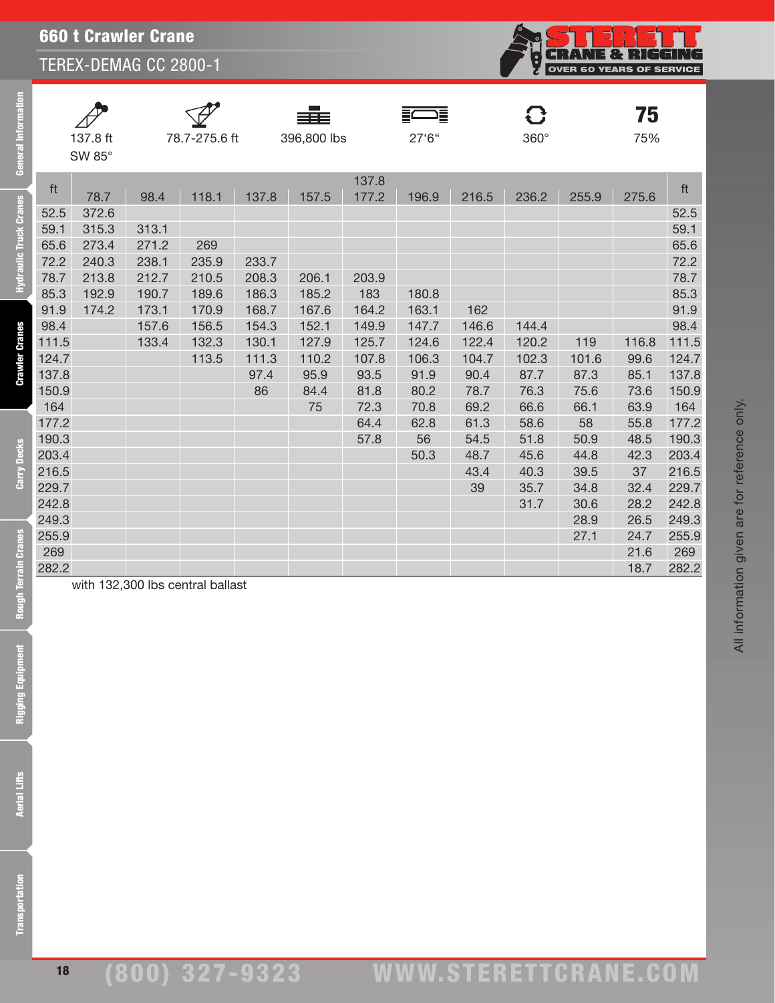|       | <b>660 t Crawler Crane</b><br>TEREX-DEMAG CC 2800-1 |       |               |       |                  |                |            |       |           |                                 |           |       |  |
|-------|-----------------------------------------------------|-------|---------------|-------|------------------|----------------|------------|-------|-----------|---------------------------------|-----------|-------|--|
|       |                                                     |       |               |       |                  |                |            |       | 9<br>S    | <b>OVER 60 YEARS OF SERVICE</b> |           |       |  |
|       | 137.8 ft<br>SW 85°                                  |       | 78.7-275.6 ft |       | ▆<br>396,800 lbs |                | 這<br>27'6" |       | G<br>360° |                                 | 75<br>75% |       |  |
| ft    | 78.7                                                | 98.4  | 118.1         | 137.8 | 157.5            | 137.8<br>177.2 | 196.9      | 216.5 | 236.2     | 255.9                           | 275.6     | ft    |  |
| 52.5  | 372.6                                               |       |               |       |                  |                |            |       |           |                                 |           | 52.5  |  |
| 59.1  | 315.3                                               | 313.1 |               |       |                  |                |            |       |           |                                 |           | 59.1  |  |
| 65.6  | 273.4                                               | 271.2 | 269           |       |                  |                |            |       |           |                                 |           | 65.6  |  |
| 72.2  | 240.3                                               | 238.1 | 235.9         | 233.7 |                  |                |            |       |           |                                 |           | 72.2  |  |
| 78.7  | 213.8                                               | 212.7 | 210.5         | 208.3 | 206.1            | 203.9          |            |       |           |                                 |           | 78.7  |  |
| 85.3  | 192.9                                               | 190.7 | 189.6         | 186.3 | 185.2            | 183            | 180.8      |       |           |                                 |           | 85.3  |  |
| 91.9  | 174.2                                               | 173.1 | 170.9         | 168.7 | 167.6            | 164.2          | 163.1      | 162   |           |                                 |           | 91.9  |  |
| 98.4  |                                                     | 157.6 | 156.5         | 154.3 | 152.1            | 149.9          | 147.7      | 146.6 | 144.4     |                                 |           | 98.4  |  |
| 111.5 |                                                     | 133.4 | 132.3         | 130.1 | 127.9            | 125.7          | 124.6      | 122.4 | 120.2     | 119                             | 116.8     | 111.5 |  |
| 124.7 |                                                     |       | 113.5         | 111.3 | 110.2            | 107.8          | 106.3      | 104.7 | 102.3     | 101.6                           | 99.6      | 124.7 |  |
| 137.8 |                                                     |       |               | 97.4  | 95.9             | 93.5           | 91.9       | 90.4  | 87.7      | 87.3                            | 85.1      | 137.8 |  |
| 150.9 |                                                     |       |               | 86    | 84.4             | 81.8           | 80.2       | 78.7  | 76.3      | 75.6                            | 73.6      | 150.9 |  |
| 164   |                                                     |       |               |       | 75               | 72.3           | 70.8       | 69.2  | 66.6      | 66.1                            | 63.9      | 164   |  |
| 177.2 |                                                     |       |               |       |                  | 64.4           | 62.8       | 61.3  | 58.6      | 58                              | 55.8      | 177.2 |  |
| 190.3 |                                                     |       |               |       |                  | 57.8           | 56         | 54.5  | 51.8      | 50.9                            | 48.5      | 190.3 |  |
| 203.4 |                                                     |       |               |       |                  |                | 50.3       | 48.7  | 45.6      | 44.8                            | 42.3      | 203.4 |  |
| 216.5 |                                                     |       |               |       |                  |                |            | 43.4  | 40.3      | 39.5                            | 37        | 216.5 |  |
| 229.7 |                                                     |       |               |       |                  |                |            | 39    | 35.7      | 34.8                            | 32.4      | 229.7 |  |
| 242.8 |                                                     |       |               |       |                  |                |            |       | 31.7      | 30.6                            | 28.2      | 242.8 |  |
| 249.3 |                                                     |       |               |       |                  |                |            |       |           | 28.9                            | 26.5      | 249.3 |  |
| 255.9 |                                                     |       |               |       |                  |                |            |       |           | 27.1                            | 24.7      | 255.9 |  |
| 269   |                                                     |       |               |       |                  |                |            |       |           |                                 | 21.6      | 269   |  |
| 282.2 |                                                     |       |               |       |                  |                |            |       |           |                                 | 18.7      | 282.2 |  |

**Rough Terrain Cranes** 

**General Information** 

**Hydraulic Truck Cranes** 

**Crawler Cranes** 

**Carry Decks** 

Rigging Equipment

with 132,300 lbs central ballast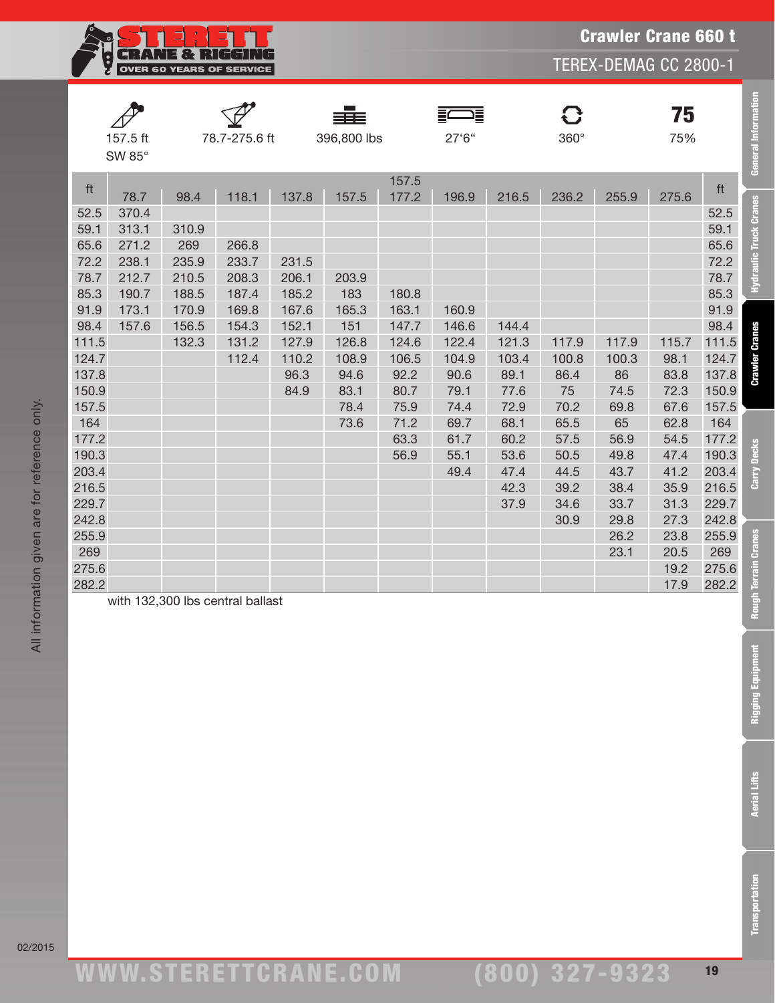

|       | 157.5 ft<br>SW 85° |       | 78.7-275.6 ft |       | 396,800 lbs |                | 27'6" |       | 8<br>$360^\circ$ |       | 75<br>75% |       | <b>General Information</b> |
|-------|--------------------|-------|---------------|-------|-------------|----------------|-------|-------|------------------|-------|-----------|-------|----------------------------|
| ft    | 78.7               | 98.4  | 118.1         | 137.8 | 157.5       | 157.5<br>177.2 | 196.9 | 216.5 | 236.2            | 255.9 | 275.6     | ft    |                            |
| 52.5  | 370.4              |       |               |       |             |                |       |       |                  |       |           | 52.5  | Hydraulic Truck Cranes     |
| 59.1  | 313.1              | 310.9 |               |       |             |                |       |       |                  |       |           | 59.1  |                            |
| 65.6  | 271.2              | 269   | 266.8         |       |             |                |       |       |                  |       |           | 65.6  |                            |
| 72.2  | 238.1              | 235.9 | 233.7         | 231.5 |             |                |       |       |                  |       |           | 72.2  |                            |
| 78.7  | 212.7              | 210.5 | 208.3         | 206.1 | 203.9       |                |       |       |                  |       |           | 78.7  |                            |
| 85.3  | 190.7              | 188.5 | 187.4         | 185.2 | 183         | 180.8          |       |       |                  |       |           | 85.3  |                            |
| 91.9  | 173.1              | 170.9 | 169.8         | 167.6 | 165.3       | 163.1          | 160.9 |       |                  |       |           | 91.9  |                            |
| 98.4  | 157.6              | 156.5 | 154.3         | 152.1 | 151         | 147.7          | 146.6 | 144.4 |                  |       |           | 98.4  |                            |
| 111.5 |                    | 132.3 | 131.2         | 127.9 | 126.8       | 124.6          | 122.4 | 121.3 | 117.9            | 117.9 | 115.7     | 111.5 | <b>Crawler Cranes</b>      |
| 124.7 |                    |       | 112.4         | 110.2 | 108.9       | 106.5          | 104.9 | 103.4 | 100.8            | 100.3 | 98.1      | 124.7 |                            |
| 137.8 |                    |       |               | 96.3  | 94.6        | 92.2           | 90.6  | 89.1  | 86.4             | 86    | 83.8      | 137.8 |                            |
| 150.9 |                    |       |               | 84.9  | 83.1        | 80.7           | 79.1  | 77.6  | 75               | 74.5  | 72.3      | 150.9 |                            |
| 157.5 |                    |       |               |       | 78.4        | 75.9           | 74.4  | 72.9  | 70.2             | 69.8  | 67.6      | 157.5 |                            |
| 164   |                    |       |               |       | 73.6        | 71.2           | 69.7  | 68.1  | 65.5             | 65    | 62.8      | 164   |                            |
| 177.2 |                    |       |               |       |             | 63.3           | 61.7  | 60.2  | 57.5             | 56.9  | 54.5      | 177.2 |                            |
| 190.3 |                    |       |               |       |             | 56.9           | 55.1  | 53.6  | 50.5             | 49.8  | 47.4      | 190.3 | <b>Decks</b>               |
| 203.4 |                    |       |               |       |             |                | 49.4  | 47.4  | 44.5             | 43.7  | 41.2      | 203.4 | Carry                      |
| 216.5 |                    |       |               |       |             |                |       | 42.3  | 39.2             | 38.4  | 35.9      | 216.5 |                            |
| 229.7 |                    |       |               |       |             |                |       | 37.9  | 34.6             | 33.7  | 31.3      | 229.7 |                            |
| 242.8 |                    |       |               |       |             |                |       |       | 30.9             | 29.8  | 27.3      | 242.8 |                            |
| 255.9 |                    |       |               |       |             |                |       |       |                  | 26.2  | 23.8      | 255.9 |                            |
| 269   |                    |       |               |       |             |                |       |       |                  | 23.1  | 20.5      | 269   |                            |
| 275.6 |                    |       |               |       |             |                |       |       |                  |       | 19.2      | 275.6 | h Terrain Cranes           |
| 282.2 |                    |       |               |       |             |                |       |       |                  |       | 17.9      | 282.2 |                            |

with 132,300 lbs central ballast

ww.TDKv.com www.STERETTCRAnE.Com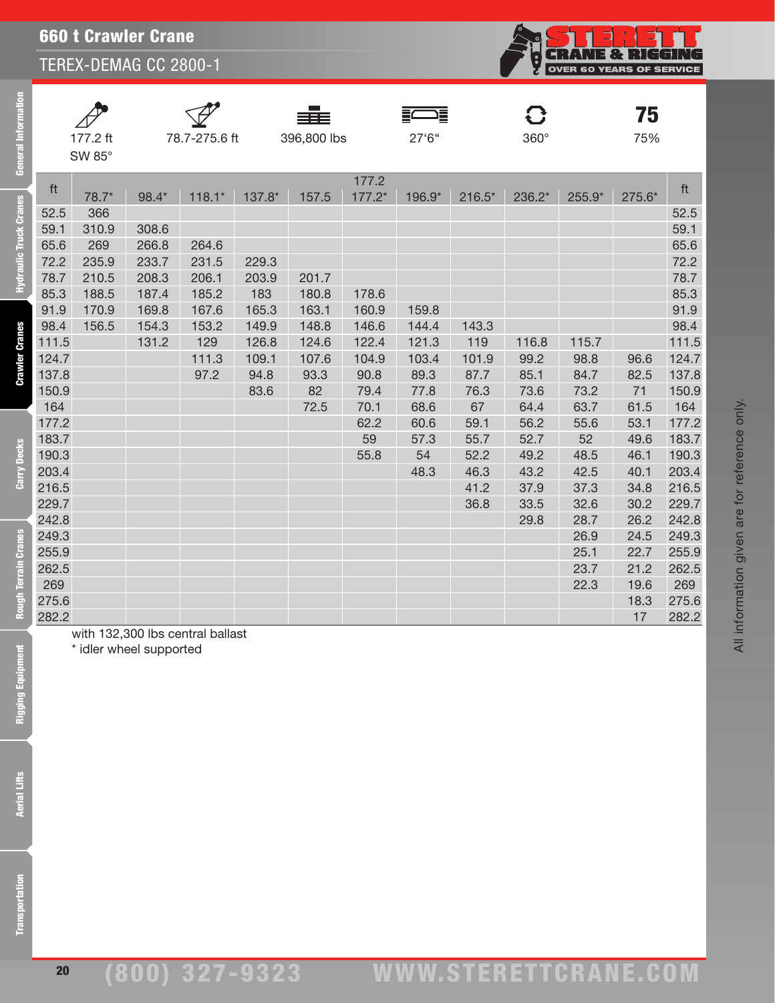Į.

|                  |               | ≣≣≣         |        |             | 75  |
|------------------|---------------|-------------|--------|-------------|-----|
| 177.2 ft         | 78.7-275.6 ft | 396,800 lbs | 27'6'' | $360^\circ$ | 75% |
| SW 85 $^{\circ}$ |               |             |        |             |     |

General Information

20

| 59.1  | 310.9 | 308.6 |       |       |       |       |       |       |       |       |      | 59.1  |
|-------|-------|-------|-------|-------|-------|-------|-------|-------|-------|-------|------|-------|
| 65.6  | 269   | 266.8 | 264.6 |       |       |       |       |       |       |       |      | 65.6  |
| 72.2  | 235.9 | 233.7 | 231.5 | 229.3 |       |       |       |       |       |       |      | 72.2  |
| 78.7  | 210.5 | 208.3 | 206.1 | 203.9 | 201.7 |       |       |       |       |       |      | 78.7  |
| 85.3  | 188.5 | 187.4 | 185.2 | 183   | 180.8 | 178.6 |       |       |       |       |      | 85.3  |
| 91.9  | 170.9 | 169.8 | 167.6 | 165.3 | 163.1 | 160.9 | 159.8 |       |       |       |      | 91.9  |
| 98.4  | 156.5 | 154.3 | 153.2 | 149.9 | 148.8 | 146.6 | 144.4 | 143.3 |       |       |      | 98.4  |
| 111.5 |       | 131.2 | 129   | 126.8 | 124.6 | 122.4 | 121.3 | 119   | 116.8 | 115.7 |      | 111.5 |
| 124.7 |       |       | 111.3 | 109.1 | 107.6 | 104.9 | 103.4 | 101.9 | 99.2  | 98.8  | 96.6 | 124.7 |
| 137.8 |       |       | 97.2  | 94.8  | 93.3  | 90.8  | 89.3  | 87.7  | 85.1  | 84.7  | 82.5 | 137.8 |
| 150.9 |       |       |       | 83.6  | 82    | 79.4  | 77.8  | 76.3  | 73.6  | 73.2  | 71   | 150.9 |
| 164   |       |       |       |       | 72.5  | 70.1  | 68.6  | 67    | 64.4  | 63.7  | 61.5 | 164   |
| 177.2 |       |       |       |       |       | 62.2  | 60.6  | 59.1  | 56.2  | 55.6  | 53.1 | 177.2 |
| 183.7 |       |       |       |       |       | 59    | 57.3  | 55.7  | 52.7  | 52    | 49.6 | 183.7 |
| 190.3 |       |       |       |       |       | 55.8  | 54    | 52.2  | 49.2  | 48.5  | 46.1 | 190.3 |
| 203.4 |       |       |       |       |       |       | 48.3  | 46.3  | 43.2  | 42.5  | 40.1 | 203.4 |
| 216.5 |       |       |       |       |       |       |       | 41.2  | 37.9  | 37.3  | 34.8 | 216.5 |
| 229.7 |       |       |       |       |       |       |       | 36.8  | 33.5  | 32.6  | 30.2 | 229.7 |
| 242.8 |       |       |       |       |       |       |       |       | 29.8  | 28.7  | 26.2 | 242.8 |
| 249.3 |       |       |       |       |       |       |       |       |       | 26.9  | 24.5 | 249.3 |

ft 177.2 ft 78.7\* 98.4\* 118.1\* 137.8\* 157.5 177.2\* 196.9\* 216.5\* 236.2\* 255.9\* 275.6\*

52.5 366 52.5

255.9 25.1 22.7 255.9 262.5 23.7 21.2 262.5 269 22.3 19.6 269 275.6 18.3 275.6

282.2 17 282.2 with 132,300 lbs central ballast

\* idler wheel supported

All information given are for reference only.

All information given are for reference only.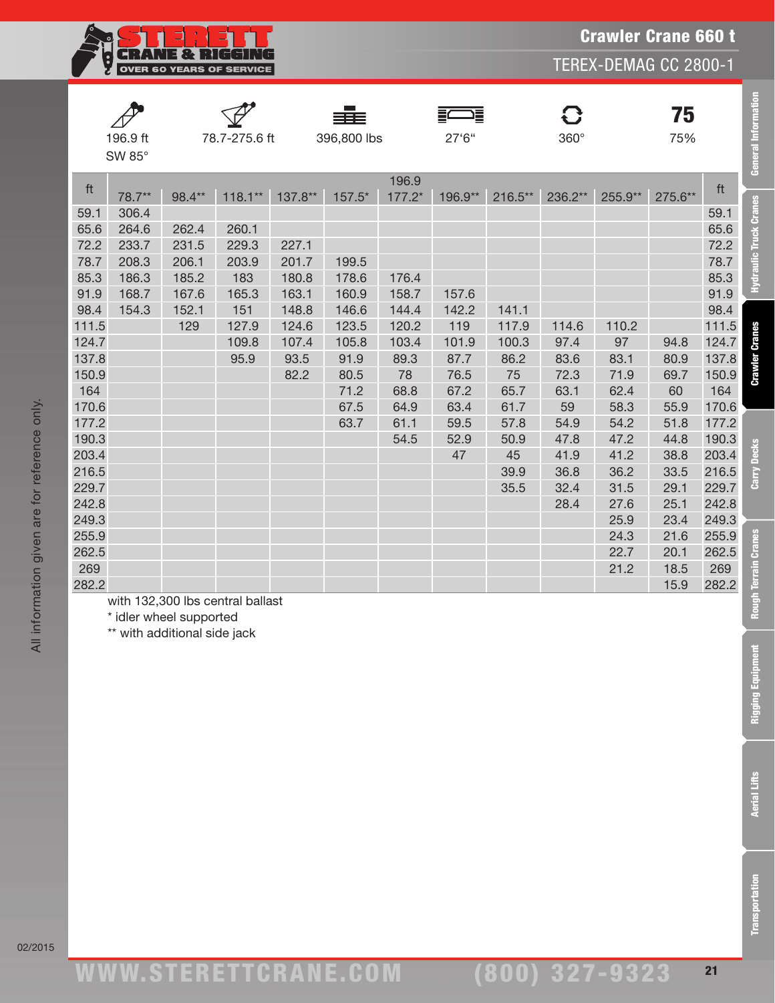

|       |          |        |               |         |             |                 | 這       |         | <b>C</b> |         | 75      |       |
|-------|----------|--------|---------------|---------|-------------|-----------------|---------|---------|----------|---------|---------|-------|
|       | 196.9 ft |        | 78.7-275.6 ft |         | 396,800 lbs |                 | 27'6"   |         | 360°     |         | 75%     |       |
|       | SW 85°   |        |               |         |             |                 |         |         |          |         |         |       |
|       |          |        |               |         |             |                 |         |         |          |         |         |       |
| ft    | 78.7**   | 98.4** | $118.1**$     | 137.8** | 157.5*      | 196.9<br>177.2* | 196.9** | 216.5** | 236.2**  | 255.9** | 275.6** | ft    |
| 59.1  | 306.4    |        |               |         |             |                 |         |         |          |         |         | 59.1  |
| 65.6  | 264.6    | 262.4  | 260.1         |         |             |                 |         |         |          |         |         | 65.6  |
| 72.2  | 233.7    | 231.5  | 229.3         | 227.1   |             |                 |         |         |          |         |         | 72.2  |
| 78.7  | 208.3    | 206.1  | 203.9         | 201.7   | 199.5       |                 |         |         |          |         |         | 78.7  |
| 85.3  | 186.3    | 185.2  | 183           | 180.8   | 178.6       | 176.4           |         |         |          |         |         | 85.3  |
| 91.9  | 168.7    | 167.6  | 165.3         | 163.1   | 160.9       | 158.7           | 157.6   |         |          |         |         | 91.9  |
| 98.4  | 154.3    | 152.1  | 151           | 148.8   | 146.6       | 144.4           | 142.2   | 141.1   |          |         |         | 98.4  |
| 111.5 |          | 129    | 127.9         | 124.6   | 123.5       | 120.2           | 119     | 117.9   | 114.6    | 110.2   |         | 111.5 |
| 124.7 |          |        | 109.8         | 107.4   | 105.8       | 103.4           | 101.9   | 100.3   | 97.4     | 97      | 94.8    | 124.7 |
| 137.8 |          |        | 95.9          | 93.5    | 91.9        | 89.3            | 87.7    | 86.2    | 83.6     | 83.1    | 80.9    | 137.8 |
| 150.9 |          |        |               | 82.2    | 80.5        | 78              | 76.5    | 75      | 72.3     | 71.9    | 69.7    | 150.9 |
| 164   |          |        |               |         | 71.2        | 68.8            | 67.2    | 65.7    | 63.1     | 62.4    | 60      | 164   |
| 170.6 |          |        |               |         | 67.5        | 64.9            | 63.4    | 61.7    | 59       | 58.3    | 55.9    | 170.6 |
| 177.2 |          |        |               |         | 63.7        | 61.1            | 59.5    | 57.8    | 54.9     | 54.2    | 51.8    | 177.2 |
| 190.3 |          |        |               |         |             | 54.5            | 52.9    | 50.9    | 47.8     | 47.2    | 44.8    | 190.3 |
| 203.4 |          |        |               |         |             |                 | 47      | 45      | 41.9     | 41.2    | 38.8    | 203.4 |
| 216.5 |          |        |               |         |             |                 |         | 39.9    | 36.8     | 36.2    | 33.5    | 216.5 |
| 229.7 |          |        |               |         |             |                 |         | 35.5    | 32.4     | 31.5    | 29.1    | 229.7 |
| 242.8 |          |        |               |         |             |                 |         |         | 28.4     | 27.6    | 25.1    | 242.8 |
| 249.3 |          |        |               |         |             |                 |         |         |          | 25.9    | 23.4    | 249.3 |
| 255.9 |          |        |               |         |             |                 |         |         |          | 24.3    | 21.6    | 255.9 |
| 262.5 |          |        |               |         |             |                 |         |         |          | 22.7    | 20.1    | 262.5 |
| 269   |          |        |               |         |             |                 |         |         |          | 21.2    | 18.5    | 269   |
| 282.2 |          |        |               |         |             |                 |         |         |          |         | 15.9    | 282.2 |

with 132,300 lbs central ballast

\* idler wheel supported

\*\* with additional side jack

General Information

Hydraulic Truck Cranes

**Crawler Cranes** 

Carry Decks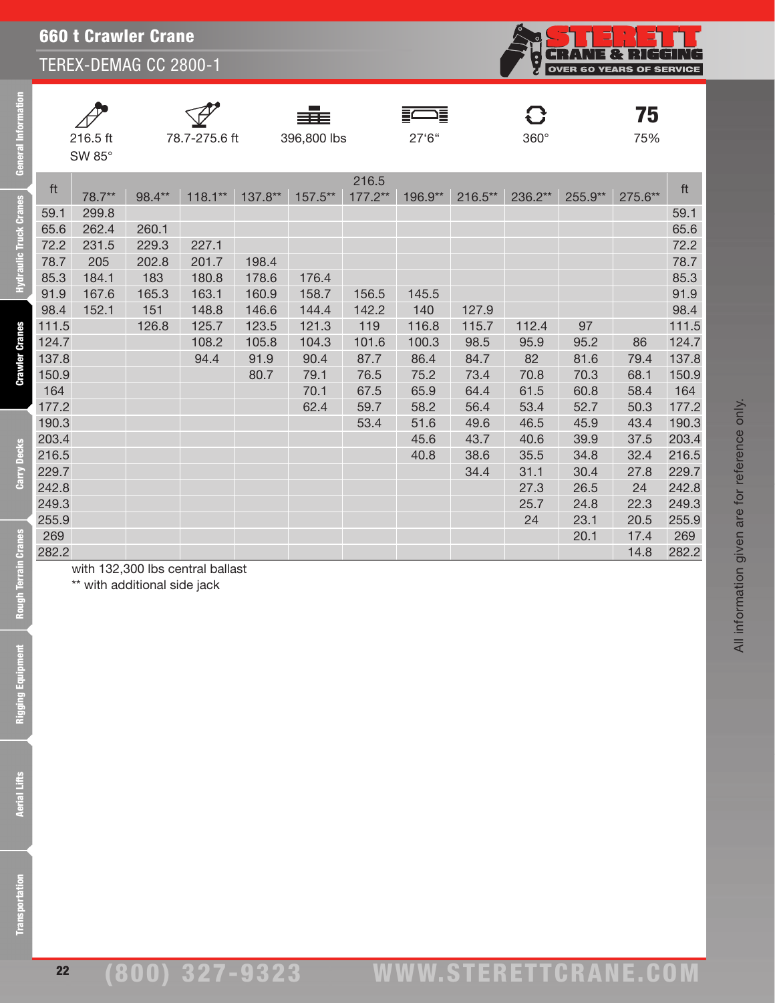

| ∕  |
|----|
| 21 |
| SΙ |

eral Information

Ē

draulic Truck Cranes

**Crawler Cranes** 

Carry Decks

SW 85°





—<br>16.5 ft 78.7-275.6 ft 396,800 lbs 27'6" 360°

F



 $75$ <sub>75%</sub>

| ft    |        |        |           |         |         | 216.5     |         |           |         |         |         | ft    |
|-------|--------|--------|-----------|---------|---------|-----------|---------|-----------|---------|---------|---------|-------|
|       | 78.7** | 98.4** | $118.1**$ | 137.8** | 157.5** | $177.2**$ | 196.9** | $216.5**$ | 236.2** | 255.9** | 275.6** |       |
| 59.1  | 299.8  |        |           |         |         |           |         |           |         |         |         | 59.1  |
| 65.6  | 262.4  | 260.1  |           |         |         |           |         |           |         |         |         | 65.6  |
| 72.2  | 231.5  | 229.3  | 227.1     |         |         |           |         |           |         |         |         | 72.2  |
| 78.7  | 205    | 202.8  | 201.7     | 198.4   |         |           |         |           |         |         |         | 78.7  |
| 85.3  | 184.1  | 183    | 180.8     | 178.6   | 176.4   |           |         |           |         |         |         | 85.3  |
| 91.9  | 167.6  | 165.3  | 163.1     | 160.9   | 158.7   | 156.5     | 145.5   |           |         |         |         | 91.9  |
| 98.4  | 152.1  | 151    | 148.8     | 146.6   | 144.4   | 142.2     | 140     | 127.9     |         |         |         | 98.4  |
| 111.5 |        | 126.8  | 125.7     | 123.5   | 121.3   | 119       | 116.8   | 115.7     | 112.4   | 97      |         | 111.5 |
| 124.7 |        |        | 108.2     | 105.8   | 104.3   | 101.6     | 100.3   | 98.5      | 95.9    | 95.2    | 86      | 124.7 |
| 137.8 |        |        | 94.4      | 91.9    | 90.4    | 87.7      | 86.4    | 84.7      | 82      | 81.6    | 79.4    | 137.8 |
| 150.9 |        |        |           | 80.7    | 79.1    | 76.5      | 75.2    | 73.4      | 70.8    | 70.3    | 68.1    | 150.9 |
| 164   |        |        |           |         | 70.1    | 67.5      | 65.9    | 64.4      | 61.5    | 60.8    | 58.4    | 164   |
| 177.2 |        |        |           |         | 62.4    | 59.7      | 58.2    | 56.4      | 53.4    | 52.7    | 50.3    | 177.2 |
| 190.3 |        |        |           |         |         | 53.4      | 51.6    | 49.6      | 46.5    | 45.9    | 43.4    | 190.3 |
| 203.4 |        |        |           |         |         |           | 45.6    | 43.7      | 40.6    | 39.9    | 37.5    | 203.4 |
| 216.5 |        |        |           |         |         |           | 40.8    | 38.6      | 35.5    | 34.8    | 32.4    | 216.5 |
| 229.7 |        |        |           |         |         |           |         | 34.4      | 31.1    | 30.4    | 27.8    | 229.7 |
| 242.8 |        |        |           |         |         |           |         |           | 27.3    | 26.5    | 24      | 242.8 |
| 249.3 |        |        |           |         |         |           |         |           | 25.7    | 24.8    | 22.3    | 249.3 |
| 255.9 |        |        |           |         |         |           |         |           | 24      | 23.1    | 20.5    | 255.9 |
| 269   |        |        |           |         |         |           |         |           |         | 20.1    | 17.4    | 269   |
| 282.2 |        |        |           |         |         |           |         |           |         |         | 14.8    | 282.2 |

with 132,300 lbs central ballast \*\* with additional side jack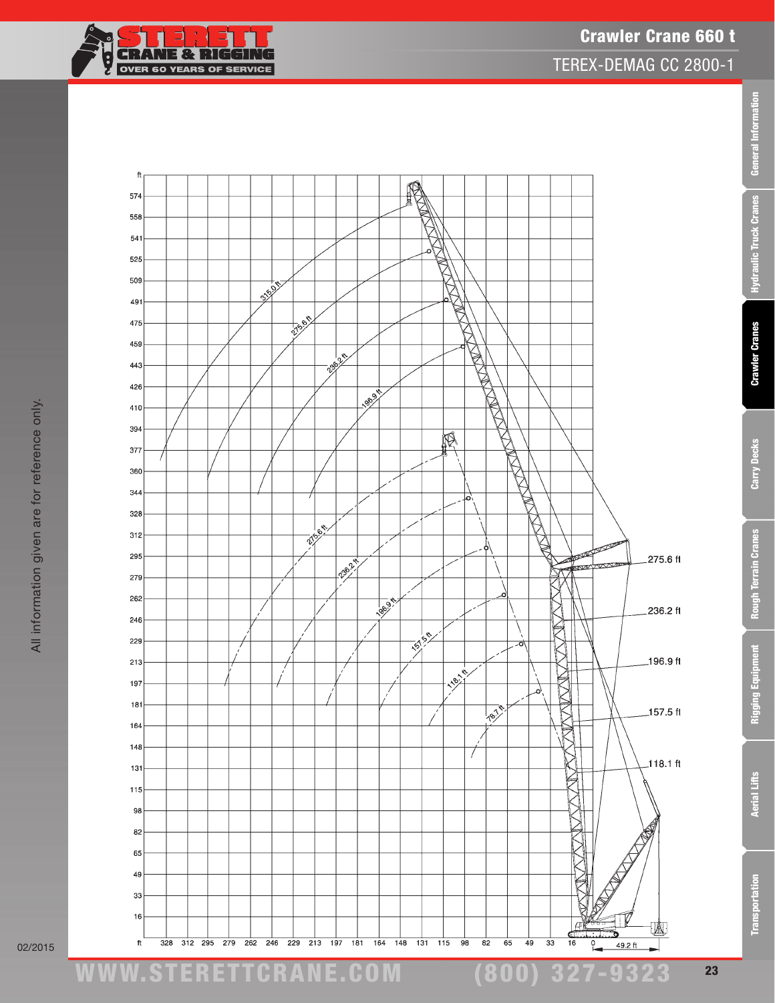





02/2015

23

(800) 327-9323

Transportation Aerial Lifts Rigging Equipment Rough Terrain Cranes Carry Decks Crawler Cranes Hydraulic Truck Cranes General Information

**Rough Terrain Cranes** 

Rigging Equipment

**Aerial Lifts** 

Transportation

Carry Decks

General Information

Hydraulic Truck Cranes

**Crawler Cranes**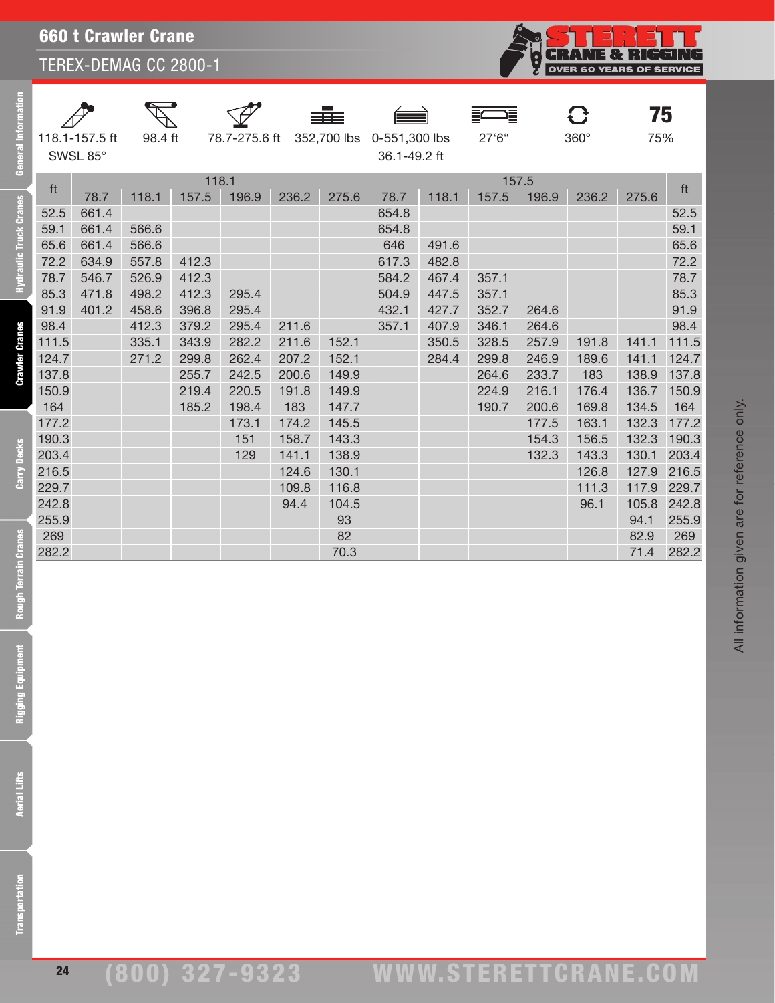| <b>660 t Crawler Crane</b> |
|----------------------------|
|----------------------------|

| General Inf                   | 118.1-157.5 ft<br>SWSL 85° |       | 98.4 ft |       | 78.7-275.6 ft<br>352,700 lbs |              | 0-551,300 lbs<br>36.1-49.2 ft |       | ⊐≣<br>27'6'' | $\bf C$<br>$360^\circ$ |                | 75<br>75%      |                |              |
|-------------------------------|----------------------------|-------|---------|-------|------------------------------|--------------|-------------------------------|-------|--------------|------------------------|----------------|----------------|----------------|--------------|
|                               |                            |       |         | 118.1 |                              |              |                               |       |              | 157.5                  |                |                |                |              |
|                               | ft                         | 78.7  | 118.1   | 157.5 | 196.9                        | 236.2        | 275.6                         | 78.7  | 118.1        | 157.5                  | 196.9          | 236.2          | 275.6          | ft           |
| <b>Hydraulic Truck Cranes</b> | 52.5                       | 661.4 |         |       |                              |              |                               | 654.8 |              |                        |                |                |                | 52.5         |
|                               | 59.1                       | 661.4 | 566.6   |       |                              |              |                               | 654.8 |              |                        |                |                |                | 59.1         |
|                               | 65.6                       | 661.4 | 566.6   |       |                              |              |                               | 646   | 491.6        |                        |                |                |                | 65.6         |
|                               | 72.2                       | 634.9 | 557.8   | 412.3 |                              |              |                               | 617.3 | 482.8        |                        |                |                |                | 72.2         |
|                               | 78.7                       | 546.7 | 526.9   | 412.3 |                              |              |                               | 584.2 | 467.4        | 357.1                  |                |                |                | 78.7         |
|                               | 85.3                       | 471.8 | 498.2   | 412.3 | 295.4                        |              |                               | 504.9 | 447.5        | 357.1                  |                |                |                | 85.3         |
|                               | 91.9                       | 401.2 | 458.6   | 396.8 | 295.4                        |              |                               | 432.1 | 427.7        | 352.7                  | 264.6          |                |                | 91.9         |
| <b>Crawler Cranes</b>         | 98.4                       |       | 412.3   | 379.2 | 295.4                        | 211.6        |                               | 357.1 | 407.9        | 346.1                  | 264.6          |                |                | 98.4         |
|                               | 111.5                      |       | 335.1   | 343.9 | 282.2                        | 211.6        | 152.1                         |       | 350.5        | 328.5                  | 257.9          | 191.8          | 141.1          | 111.5        |
|                               | 124.7                      |       | 271.2   | 299.8 | 262.4                        | 207.2        | 152.1                         |       | 284.4        | 299.8                  | 246.9          | 189.6          | 141.1          | 124.7        |
|                               | 137.8                      |       |         | 255.7 | 242.5                        | 200.6        | 149.9                         |       |              | 264.6                  | 233.7          | 183            | 138.9          | 137.8        |
|                               | 150.9                      |       |         | 219.4 | 220.5                        | 191.8        | 149.9                         |       |              | 224.9                  | 216.1          | 176.4          | 136.7          | 150.9        |
|                               | 164<br>177.2               |       |         | 185.2 | 198.4<br>173.1               | 183<br>174.2 | 147.7<br>145.5                |       |              | 190.7                  | 200.6<br>177.5 | 169.8<br>163.1 | 134.5<br>132.3 | 164<br>177.2 |
|                               | 190.3                      |       |         |       | 151                          | 158.7        | 143.3                         |       |              |                        | 154.3          | 156.5          | 132.3          | 190.3        |
|                               | 203.4                      |       |         |       | 129                          | 141.1        | 138.9                         |       |              |                        | 132.3          | 143.3          | 130.1          | 203.4        |
| <b>Carry Decks</b>            | 216.5                      |       |         |       |                              | 124.6        | 130.1                         |       |              |                        |                | 126.8          | 127.9          | 216.5        |
|                               | 229.7                      |       |         |       |                              | 109.8        | 116.8                         |       |              |                        |                | 111.3          | 117.9          | 229.7        |
|                               | 242.8                      |       |         |       |                              | 94.4         | 104.5                         |       |              |                        |                | 96.1           | 105.8          | 242.8        |
|                               | 255.9                      |       |         |       |                              |              | 93                            |       |              |                        |                |                | 94.1           | 255.9        |
|                               | 269                        |       |         |       |                              |              | 82                            |       |              |                        |                |                | 82.9           | 269          |
|                               | 282.2                      |       |         |       |                              |              | 70.3                          |       |              |                        |                |                | 71.4           | 282.2        |
|                               |                            |       |         |       |                              |              |                               |       |              |                        |                |                |                |              |
|                               |                            |       |         |       |                              |              |                               |       |              |                        |                |                |                |              |
| Rough Terrain Cranes          |                            |       |         |       |                              |              |                               |       |              |                        |                |                |                |              |
|                               |                            |       |         |       |                              |              |                               |       |              |                        |                |                |                |              |
|                               |                            |       |         |       |                              |              |                               |       |              |                        |                |                |                |              |
|                               |                            |       |         |       |                              |              |                               |       |              |                        |                |                |                |              |
| Rigging Equipment             |                            |       |         |       |                              |              |                               |       |              |                        |                |                |                |              |
|                               |                            |       |         |       |                              |              |                               |       |              |                        |                |                |                |              |
|                               |                            |       |         |       |                              |              |                               |       |              |                        |                |                |                |              |
|                               |                            |       |         |       |                              |              |                               |       |              |                        |                |                |                |              |
|                               |                            |       |         |       |                              |              |                               |       |              |                        |                |                |                |              |
|                               |                            |       |         |       |                              |              |                               |       |              |                        |                |                |                |              |
|                               |                            |       |         |       |                              |              |                               |       |              |                        |                |                |                |              |
| <b>Aerial Lifts</b>           |                            |       |         |       |                              |              |                               |       |              |                        |                |                |                |              |
|                               |                            |       |         |       |                              |              |                               |       |              |                        |                |                |                |              |
|                               |                            |       |         |       |                              |              |                               |       |              |                        |                |                |                |              |
|                               |                            |       |         |       |                              |              |                               |       |              |                        |                |                |                |              |
|                               |                            |       |         |       |                              |              |                               |       |              |                        |                |                |                |              |
|                               |                            |       |         |       |                              |              |                               |       |              |                        |                |                |                |              |
|                               |                            |       |         |       |                              |              |                               |       |              |                        |                |                |                |              |
| ransportation                 |                            |       |         |       |                              |              |                               |       |              |                        |                |                |                |              |
|                               |                            |       |         |       |                              |              |                               |       |              |                        |                |                |                |              |

**CRANE & RIGGING** 

ģ

Rough Terrai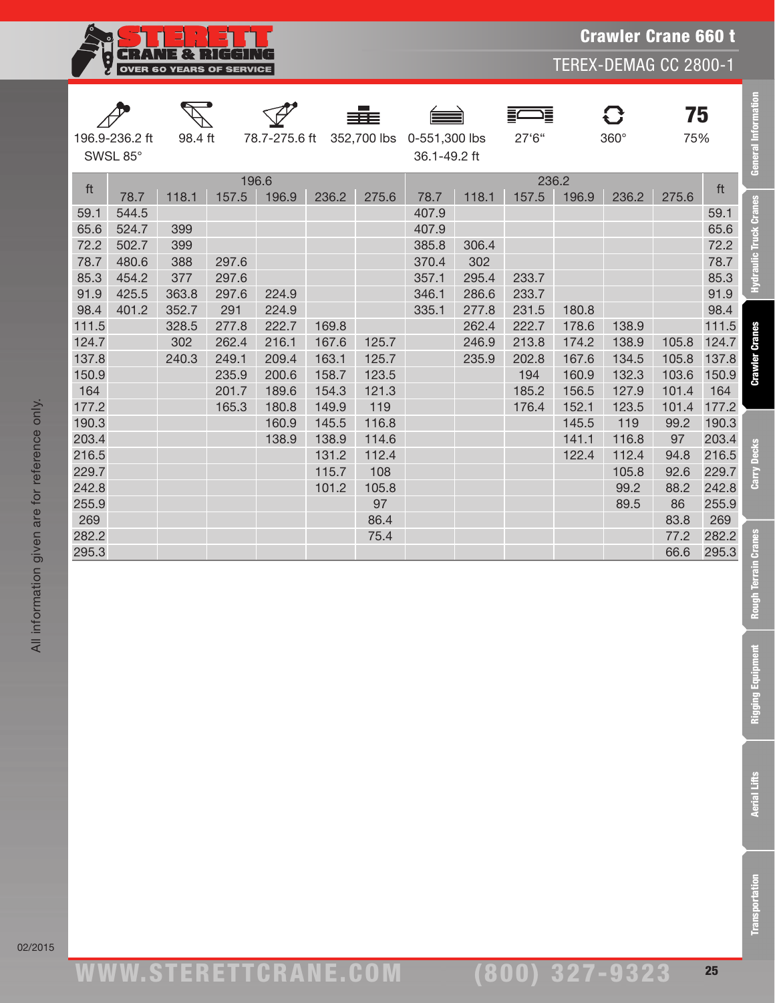

Crawler Crane 660 t

TEREX-DEMAG CC 2800-1

|                            |       |       |         |       |                              |       |                               |       | ⊐≣<br>≣ |       | $\mathbf G$ | 75    |       |                             |
|----------------------------|-------|-------|---------|-------|------------------------------|-------|-------------------------------|-------|---------|-------|-------------|-------|-------|-----------------------------|
| 196.9-236.2 ft<br>SWSL 85° |       |       | 98.4 ft |       | 78.7-275.6 ft<br>352,700 lbs |       | 0-551,300 lbs<br>36.1-49.2 ft |       | 27'6"   |       | 360°        | 75%   |       | <b>General Information</b>  |
|                            |       |       |         | 196.6 |                              |       |                               |       | 236.2   |       |             |       |       |                             |
| ft                         | 78.7  | 118.1 | 157.5   | 196.9 | 236.2                        | 275.6 | 78.7                          | 118.1 | 157.5   | 196.9 | 236.2       | 275.6 | ft    |                             |
| 59.1                       | 544.5 |       |         |       |                              |       | 407.9                         |       |         |       |             |       | 59.1  | <b>Cranes</b>               |
| 65.6                       | 524.7 | 399   |         |       |                              |       | 407.9                         |       |         |       |             |       | 65.6  |                             |
| 72.2                       | 502.7 | 399   |         |       |                              |       | 385.8                         | 306.4 |         |       |             |       | 72.2  | <b>lic Truck</b>            |
| 78.7                       | 480.6 | 388   | 297.6   |       |                              |       | 370.4                         | 302   |         |       |             |       | 78.7  |                             |
| 85.3                       | 454.2 | 377   | 297.6   |       |                              |       | 357.1                         | 295.4 | 233.7   |       |             |       | 85.3  | Hydrau                      |
| 91.9                       | 425.5 | 363.8 | 297.6   | 224.9 |                              |       | 346.1                         | 286.6 | 233.7   |       |             |       | 91.9  |                             |
| 98.4                       | 401.2 | 352.7 | 291     | 224.9 |                              |       | 335.1                         | 277.8 | 231.5   | 180.8 |             |       | 98.4  |                             |
| 111.5                      |       | 328.5 | 277.8   | 222.7 | 169.8                        |       |                               | 262.4 | 222.7   | 178.6 | 138.9       |       | 111.5 |                             |
| 124.7                      |       | 302   | 262.4   | 216.1 | 167.6                        | 125.7 |                               | 246.9 | 213.8   | 174.2 | 138.9       | 105.8 | 124.7 | <b>Crawler Cranes</b>       |
| 137.8                      |       | 240.3 | 249.1   | 209.4 | 163.1                        | 125.7 |                               | 235.9 | 202.8   | 167.6 | 134.5       | 105.8 | 137.8 |                             |
| 150.9                      |       |       | 235.9   | 200.6 | 158.7                        | 123.5 |                               |       | 194     | 160.9 | 132.3       | 103.6 | 150.9 |                             |
| 164                        |       |       | 201.7   | 189.6 | 154.3                        | 121.3 |                               |       | 185.2   | 156.5 | 127.9       | 101.4 | 164   |                             |
| 177.2                      |       |       | 165.3   | 180.8 | 149.9                        | 119   |                               |       | 176.4   | 152.1 | 123.5       | 101.4 | 177.2 |                             |
| 190.3                      |       |       |         | 160.9 | 145.5                        | 116.8 |                               |       |         | 145.5 | 119         | 99.2  | 190.3 |                             |
| 203.4                      |       |       |         | 138.9 | 138.9                        | 114.6 |                               |       |         | 141.1 | 116.8       | 97    | 203.4 | S                           |
| 216.5                      |       |       |         |       | 131.2                        | 112.4 |                               |       |         | 122.4 | 112.4       | 94.8  | 216.5 | <b>Decl</b>                 |
| 229.7                      |       |       |         |       | 115.7                        | 108   |                               |       |         |       | 105.8       | 92.6  | 229.7 |                             |
| 242.8                      |       |       |         |       | 101.2                        | 105.8 |                               |       |         |       | 99.2        | 88.2  | 242.8 | తె                          |
| 255.9                      |       |       |         |       |                              | 97    |                               |       |         |       | 89.5        | 86    | 255.9 |                             |
| 269                        |       |       |         |       |                              | 86.4  |                               |       |         |       |             | 83.8  | 269   |                             |
| 282.2                      |       |       |         |       |                              | 75.4  |                               |       |         |       |             | 77.2  | 282.2 |                             |
| 295.3                      |       |       |         |       |                              |       |                               |       |         |       |             | 66.6  | 295.3 | <b>Rough Terrain Cranes</b> |
|                            |       |       |         |       |                              |       |                               |       |         |       |             |       |       |                             |
|                            |       |       |         |       |                              |       |                               |       |         |       |             |       |       |                             |
|                            |       |       |         |       |                              |       |                               |       |         |       |             |       |       |                             |
|                            |       |       |         |       |                              |       |                               |       |         |       |             |       |       |                             |
|                            |       |       |         |       |                              |       |                               |       |         |       |             |       |       |                             |
|                            |       |       |         |       |                              |       |                               |       |         |       |             |       |       | ment                        |
|                            |       |       |         |       |                              |       |                               |       |         |       |             |       |       |                             |
|                            |       |       |         |       |                              |       |                               |       |         |       |             |       |       |                             |
|                            |       |       |         |       |                              |       |                               |       |         |       |             |       |       | <b>Rigging Equipr</b>       |
|                            |       |       |         |       |                              |       |                               |       |         |       |             |       |       |                             |
|                            |       |       |         |       |                              |       |                               |       |         |       |             |       |       |                             |
|                            |       |       |         |       |                              |       |                               |       |         |       |             |       |       |                             |
|                            |       |       |         |       |                              |       |                               |       |         |       |             |       |       |                             |
|                            |       |       |         |       |                              |       |                               |       |         |       |             |       |       |                             |
|                            |       |       |         |       |                              |       |                               |       |         |       |             |       |       | <b>Aerial Lifts</b>         |
|                            |       |       |         |       |                              |       |                               |       |         |       |             |       |       |                             |
|                            |       |       |         |       |                              |       |                               |       |         |       |             |       |       |                             |
|                            |       |       |         |       |                              |       |                               |       |         |       |             |       |       |                             |
|                            |       |       |         |       |                              |       |                               |       |         |       |             |       |       |                             |
|                            |       |       |         |       |                              |       |                               |       |         |       |             |       |       |                             |
|                            |       |       |         |       |                              |       |                               |       |         |       |             |       |       | ransportation               |
|                            |       |       |         |       |                              |       |                               |       |         |       |             |       |       |                             |
|                            |       |       |         |       |                              |       |                               |       |         |       |             |       |       |                             |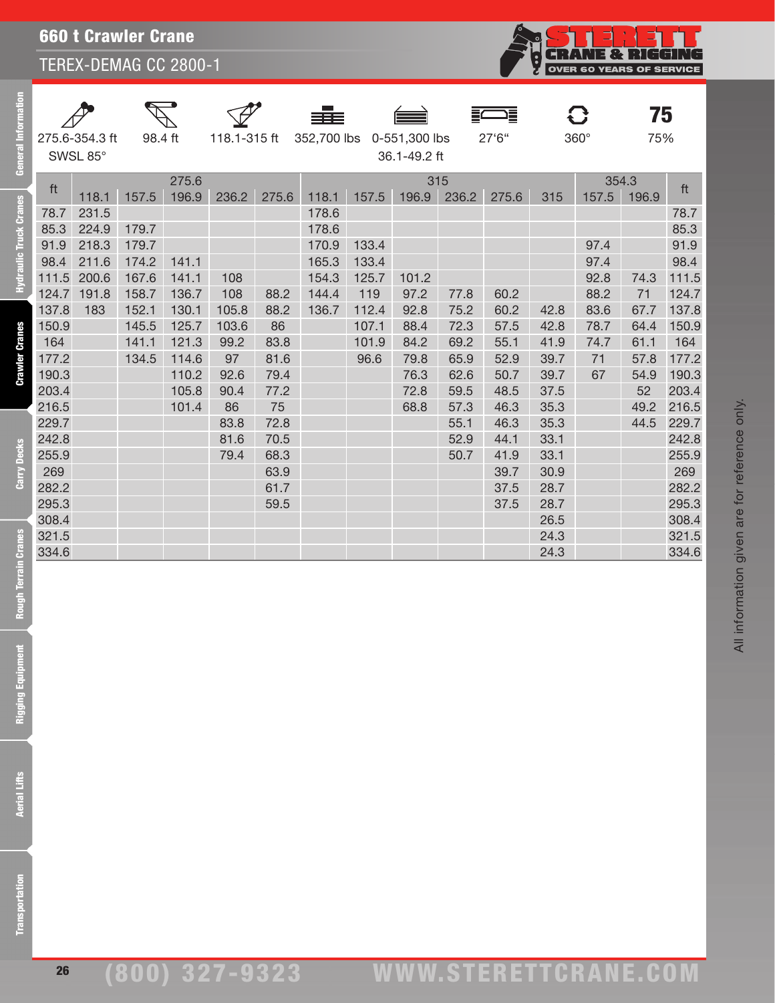|                        |       |                            |         |                |              |       |       |       |                                           |              |       |      |             | 75             |       |
|------------------------|-------|----------------------------|---------|----------------|--------------|-------|-------|-------|-------------------------------------------|--------------|-------|------|-------------|----------------|-------|
| General Inf            |       | 275.6-354.3 ft<br>SWSL 85° | 98.4 ft |                | 118.1-315 ft |       |       |       | 352,700 lbs 0-551,300 lbs<br>36.1-49.2 ft |              | 27'6" |      | $360^\circ$ | 75%            |       |
|                        | ft    | 118.1                      | 157.5   | 275.6<br>196.9 | 236.2        | 275.6 | 118.1 | 157.5 | 196.9                                     | 315<br>236.2 | 275.6 | 315  | 157.5       | 354.3<br>196.9 | ft    |
| Hydraulic Truck Cranes | 78.7  | 231.5                      |         |                |              |       | 178.6 |       |                                           |              |       |      |             |                | 78.7  |
|                        | 85.3  | 224.9                      | 179.7   |                |              |       | 178.6 |       |                                           |              |       |      |             |                | 85.3  |
|                        | 91.9  | 218.3                      | 179.7   |                |              |       | 170.9 | 133.4 |                                           |              |       |      | 97.4        |                | 91.9  |
|                        | 98.4  | 211.6                      | 174.2   | 141.1          |              |       | 165.3 | 133.4 |                                           |              |       |      | 97.4        |                | 98.4  |
|                        | 111.5 | 200.6                      | 167.6   | 141.1          | 108          |       | 154.3 | 125.7 | 101.2                                     |              |       |      | 92.8        | 74.3           | 111.5 |
|                        | 124.7 | 191.8                      | 158.7   | 136.7          | 108          | 88.2  | 144.4 | 119   | 97.2                                      | 77.8         | 60.2  |      | 88.2        | 71             | 124.7 |
|                        | 137.8 | 183                        | 152.1   | 130.1          | 105.8        | 88.2  | 136.7 | 112.4 | 92.8                                      | 75.2         | 60.2  | 42.8 | 83.6        | 67.7           | 137.8 |
|                        | 150.9 |                            | 145.5   | 125.7          | 103.6        | 86    |       | 107.1 | 88.4                                      | 72.3         | 57.5  | 42.8 | 78.7        | 64.4           | 150.9 |
|                        | 164   |                            | 141.1   | 121.3          | 99.2         | 83.8  |       | 101.9 | 84.2                                      | 69.2         | 55.1  | 41.9 | 74.7        | 61.1           | 164   |
| <b>Crawler Cranes</b>  | 177.2 |                            | 134.5   | 114.6          | 97           | 81.6  |       | 96.6  | 79.8                                      | 65.9         | 52.9  | 39.7 | 71          | 57.8           | 177.2 |
|                        | 190.3 |                            |         | 110.2          | 92.6         | 79.4  |       |       | 76.3                                      | 62.6         | 50.7  | 39.7 | 67          | 54.9           | 190.3 |
|                        | 203.4 |                            |         | 105.8          | 90.4         | 77.2  |       |       | 72.8                                      | 59.5         | 48.5  | 37.5 |             | 52             | 203.4 |
|                        | 216.5 |                            |         | 101.4          | 86           | 75    |       |       | 68.8                                      | 57.3         | 46.3  | 35.3 |             | 49.2           | 216.5 |
|                        | 229.7 |                            |         |                | 83.8         | 72.8  |       |       |                                           | 55.1         | 46.3  | 35.3 |             | 44.5           | 229.7 |
|                        | 242.8 |                            |         |                | 81.6         | 70.5  |       |       |                                           | 52.9         | 44.1  | 33.1 |             |                | 242.8 |
| Carry Decks            | 255.9 |                            |         |                | 79.4         | 68.3  |       |       |                                           | 50.7         | 41.9  | 33.1 |             |                | 255.9 |
|                        | 269   |                            |         |                |              | 63.9  |       |       |                                           |              | 39.7  | 30.9 |             |                | 269   |
|                        | 282.2 |                            |         |                |              | 61.7  |       |       |                                           |              | 37.5  | 28.7 |             |                | 282.2 |
|                        | 295.3 |                            |         |                |              | 59.5  |       |       |                                           |              | 37.5  | 28.7 |             |                | 295.3 |
|                        | 308.4 |                            |         |                |              |       |       |       |                                           |              |       | 26.5 |             |                | 308.4 |
|                        | 321.5 |                            |         |                |              |       |       |       |                                           |              |       | 24.3 |             |                | 321.5 |
|                        | 334.6 |                            |         |                |              |       |       |       |                                           |              |       | 24.3 |             |                | 334.6 |
| Rough Terrain Cranes   |       |                            |         |                |              |       |       |       |                                           |              |       |      |             |                |       |
|                        |       |                            |         |                |              |       |       |       |                                           |              |       |      |             |                |       |
|                        |       |                            |         |                |              |       |       |       |                                           |              |       |      |             |                |       |
|                        |       |                            |         |                |              |       |       |       |                                           |              |       |      |             |                |       |
| nent                   |       |                            |         |                |              |       |       |       |                                           |              |       |      |             |                |       |
|                        |       |                            |         |                |              |       |       |       |                                           |              |       |      |             |                |       |
| Rigging Equipm         |       |                            |         |                |              |       |       |       |                                           |              |       |      |             |                |       |
|                        |       |                            |         |                |              |       |       |       |                                           |              |       |      |             |                |       |
|                        |       |                            |         |                |              |       |       |       |                                           |              |       |      |             |                |       |
|                        |       |                            |         |                |              |       |       |       |                                           |              |       |      |             |                |       |
|                        |       |                            |         |                |              |       |       |       |                                           |              |       |      |             |                |       |
|                        |       |                            |         |                |              |       |       |       |                                           |              |       |      |             |                |       |
| <b>Aerial Lifts</b>    |       |                            |         |                |              |       |       |       |                                           |              |       |      |             |                |       |
|                        |       |                            |         |                |              |       |       |       |                                           |              |       |      |             |                |       |
|                        |       |                            |         |                |              |       |       |       |                                           |              |       |      |             |                |       |
|                        |       |                            |         |                |              |       |       |       |                                           |              |       |      |             |                |       |
|                        |       |                            |         |                |              |       |       |       |                                           |              |       |      |             |                |       |
|                        |       |                            |         |                |              |       |       |       |                                           |              |       |      |             |                |       |
|                        |       |                            |         |                |              |       |       |       |                                           |              |       |      |             |                |       |
|                        |       |                            |         |                |              |       |       |       |                                           |              |       |      |             |                |       |
| ansportation           |       |                            |         |                |              |       |       |       |                                           |              |       |      |             |                |       |
|                        |       |                            |         |                |              |       |       |       |                                           |              |       |      |             |                |       |

**Transportation**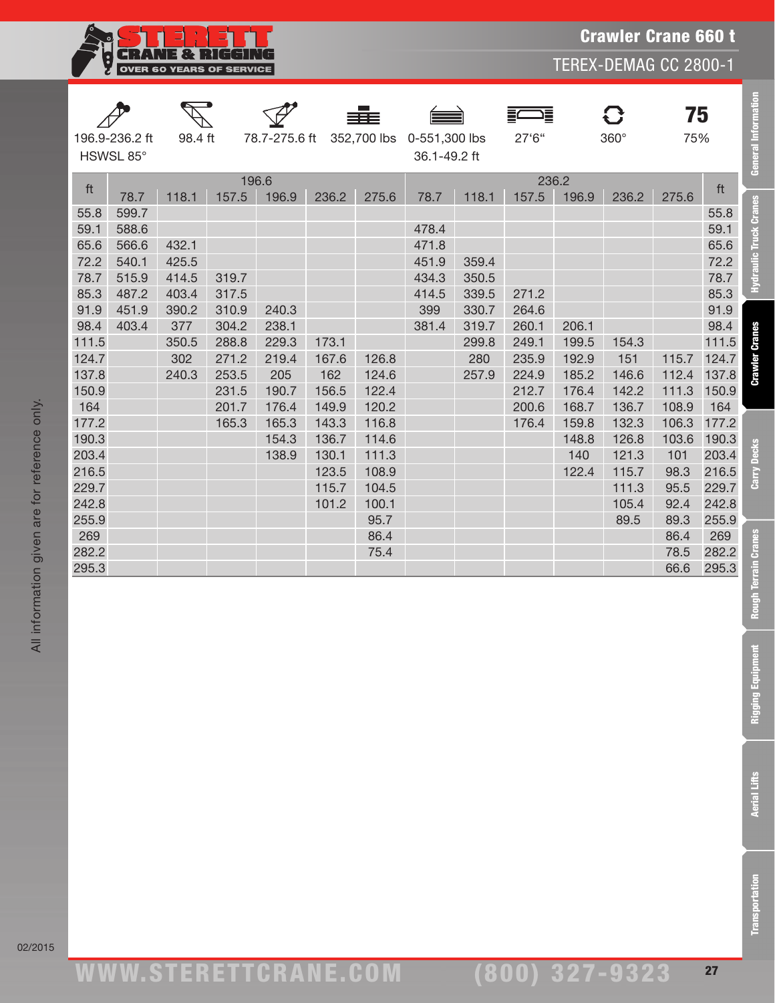

Crawler Crane 660 t

TEREX-DEMAG CC 2800-1

|       |                             |         |       |                |       | ≡≡≡         |                               |       | ゠      |                | 0           | 75    |       |
|-------|-----------------------------|---------|-------|----------------|-------|-------------|-------------------------------|-------|--------|----------------|-------------|-------|-------|
|       | 196.9-236.2 ft<br>HSWSL 85° | 98.4 ft |       | 78.7-275.6 ft  |       | 352,700 lbs | 0-551,300 lbs<br>36.1-49.2 ft |       | 27'6'' |                | $360^\circ$ | 75%   |       |
| ft    | 78.7                        | 118.1   | 157.5 | 196.6<br>196.9 | 236.2 | 275.6       | 78.7                          | 118.1 | 157.5  | 236.2<br>196.9 | 236.2       | 275.6 | ft    |
| 55.8  | 599.7                       |         |       |                |       |             |                               |       |        |                |             |       | 55.8  |
| 59.1  | 588.6                       |         |       |                |       |             | 478.4                         |       |        |                |             |       | 59.1  |
| 65.6  | 566.6                       | 432.1   |       |                |       |             | 471.8                         |       |        |                |             |       | 65.6  |
| 72.2  | 540.1                       | 425.5   |       |                |       |             | 451.9                         | 359.4 |        |                |             |       | 72.2  |
| 78.7  | 515.9                       | 414.5   | 319.7 |                |       |             | 434.3                         | 350.5 |        |                |             |       | 78.7  |
| 85.3  | 487.2                       | 403.4   | 317.5 |                |       |             | 414.5                         | 339.5 | 271.2  |                |             |       | 85.3  |
| 91.9  | 451.9                       | 390.2   | 310.9 | 240.3          |       |             | 399                           | 330.7 | 264.6  |                |             |       | 91.9  |
| 98.4  | 403.4                       | 377     | 304.2 | 238.1          |       |             | 381.4                         | 319.7 | 260.1  | 206.1          |             |       | 98.4  |
| 111.5 |                             | 350.5   | 288.8 | 229.3          | 173.1 |             |                               | 299.8 | 249.1  | 199.5          | 154.3       |       | 111.5 |
| 124.7 |                             | 302     | 271.2 | 219.4          | 167.6 | 126.8       |                               | 280   | 235.9  | 192.9          | 151         | 115.7 | 124.7 |
| 137.8 |                             | 240.3   | 253.5 | 205            | 162   | 124.6       |                               | 257.9 | 224.9  | 185.2          | 146.6       | 112.4 | 137.8 |
| 150.9 |                             |         | 231.5 | 190.7          | 156.5 | 122.4       |                               |       | 212.7  | 176.4          | 142.2       | 111.3 | 150.9 |
| 164   |                             |         | 201.7 | 176.4          | 149.9 | 120.2       |                               |       | 200.6  | 168.7          | 136.7       | 108.9 | 164   |
| 177.2 |                             |         | 165.3 | 165.3          | 143.3 | 116.8       |                               |       | 176.4  | 159.8          | 132.3       | 106.3 | 177.2 |
| 190.3 |                             |         |       | 154.3          | 136.7 | 114.6       |                               |       |        | 148.8          | 126.8       | 103.6 | 190.3 |
| 203.4 |                             |         |       | 138.9          | 130.1 | 111.3       |                               |       |        | 140            | 121.3       | 101   | 203.4 |
| 216.5 |                             |         |       |                | 123.5 | 108.9       |                               |       |        | 122.4          | 115.7       | 98.3  | 216.5 |
| 229.7 |                             |         |       |                | 115.7 | 104.5       |                               |       |        |                | 111.3       | 95.5  | 229.7 |
| 242.8 |                             |         |       |                | 101.2 | 100.1       |                               |       |        |                | 105.4       | 92.4  | 242.8 |
| 255.9 |                             |         |       |                |       | 95.7        |                               |       |        |                | 89.5        | 89.3  | 255.9 |
| 269   |                             |         |       |                |       | 86.4        |                               |       |        |                |             | 86.4  | 269   |
| 282.2 |                             |         |       |                |       | 75.4        |                               |       |        |                |             | 78.5  | 282.2 |
| 295.3 |                             |         |       |                |       |             |                               |       |        |                |             | 66.6  | 295.3 |
|       |                             |         |       |                |       |             |                               |       |        |                |             |       |       |
|       |                             |         |       |                |       |             |                               |       |        |                |             |       |       |
|       |                             |         |       |                |       |             |                               |       |        |                |             |       |       |
|       |                             |         |       |                |       |             |                               |       |        |                |             |       |       |
|       |                             |         |       |                |       |             |                               |       |        |                |             |       |       |
|       |                             |         |       |                |       |             |                               |       |        |                |             |       |       |
|       |                             |         |       |                |       |             |                               |       |        |                |             |       |       |
|       |                             |         |       |                |       |             |                               |       |        |                |             |       |       |
|       |                             |         |       |                |       |             |                               |       |        |                |             |       |       |
|       |                             |         |       |                |       |             |                               |       |        |                |             |       |       |
|       |                             |         |       |                |       |             |                               |       |        |                |             |       |       |
|       |                             |         |       |                |       |             |                               |       |        |                |             |       |       |
|       |                             |         |       |                |       |             |                               |       |        |                |             |       |       |
|       |                             |         |       |                |       |             |                               |       |        |                |             |       |       |
|       |                             |         |       |                |       |             |                               |       |        |                |             |       |       |
|       |                             |         |       |                |       |             |                               |       |        |                |             |       |       |
|       |                             |         |       |                |       |             |                               |       |        |                |             |       |       |
|       |                             |         |       |                |       |             |                               |       |        |                |             |       |       |
|       |                             |         |       |                |       |             |                               |       |        |                |             |       |       |
|       |                             |         |       |                |       |             |                               |       |        |                |             |       |       |
|       |                             |         |       |                |       |             |                               |       |        |                |             |       |       |

Rough Te